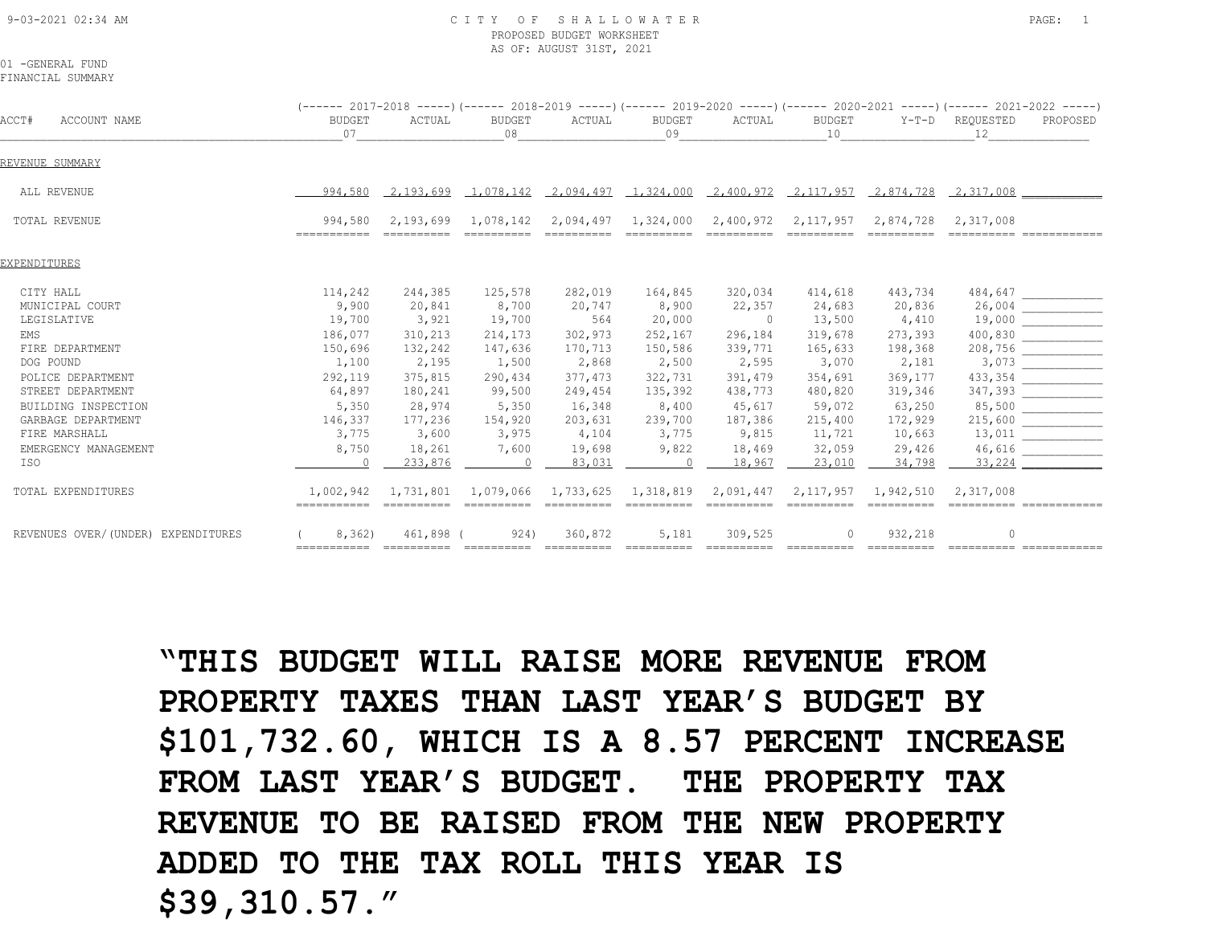#### 9-03-2021 02:34 AM C I T Y O F S H A L L O W A T E R PAGE: 1 PROPOSED BUDGET WORKSHEET AS OF: AUGUST 31ST, 2021

01 -GENERAL FUND FINANCIAL SUMMARY

|                                    |                         |           |                               |                               |              |                                                          |                     |           | $(---- 2017-2018 --- )$ $(---- 2018-2019 --- )$ $(---- 2019-2020 --- )$ $(---- 2020-2021 --- )$ $(---- 2021-2022 --- )$               |                                                                                                                                                                                                                                                                                                                                                                                                                            |
|------------------------------------|-------------------------|-----------|-------------------------------|-------------------------------|--------------|----------------------------------------------------------|---------------------|-----------|---------------------------------------------------------------------------------------------------------------------------------------|----------------------------------------------------------------------------------------------------------------------------------------------------------------------------------------------------------------------------------------------------------------------------------------------------------------------------------------------------------------------------------------------------------------------------|
| ACCT#<br>ACCOUNT NAME              | <b>BUDGET</b><br>07     | ACTUAL    | BUDGET<br>08                  | ACTUAL                        | BUDGET<br>09 | ACTUAL                                                   | BUDGET<br>10        |           | Y-T-D REOUESTED<br>12                                                                                                                 | PROPOSED                                                                                                                                                                                                                                                                                                                                                                                                                   |
| REVENUE SUMMARY                    |                         |           |                               |                               |              |                                                          |                     |           |                                                                                                                                       |                                                                                                                                                                                                                                                                                                                                                                                                                            |
| ALL REVENUE                        | 994,580                 |           |                               |                               |              |                                                          |                     |           | $\begin{array}{cccccccccc} 2,193,699 & 1,078,142 & 2,094,497 & 1,324,000 & 2,400,972 & 2,117,957 & 2,874,728 & 2,317,008 \end{array}$ |                                                                                                                                                                                                                                                                                                                                                                                                                            |
| TOTAL REVENUE                      | 994,580<br>===========  | 2,193,699 |                               | 1,078,142 2,094,497 1,324,000 |              |                                                          | 2,400,972 2,117,957 | 2,874,728 | 2,317,008                                                                                                                             |                                                                                                                                                                                                                                                                                                                                                                                                                            |
| EXPENDITURES                       |                         |           |                               |                               |              |                                                          |                     |           |                                                                                                                                       |                                                                                                                                                                                                                                                                                                                                                                                                                            |
| CITY HALL                          | 114,242                 | 244,385   | 125,578                       | 282,019                       | 164,845      | 320,034                                                  | 414,618             | 443,734   |                                                                                                                                       | $\begin{tabular}{ c c } \hline 484, 647 & \hline \hline \rule{0pt}{3ex} 26, 004 & \hline \rule{0pt}{3ex} 19, 000 & \hline \rule{0pt}{3ex} 19, 000 & \hline \rule{0pt}{3ex} 19, 000 & \hline \rule{0pt}{3ex} 19, 000 & \hline \rule{0pt}{3ex} 19, 000 & \hline \rule{0pt}{3ex} 19, 000 & \hline \rule{0pt}{3ex} 19, 000 & \hline \rule{0pt}{3ex} 19, 000 & \hline$                                                          |
| MUNICIPAL COURT                    | 9,900                   | 20,841    | 8,700                         | 20,747                        | 8,900        | 22,357                                                   | 24,683              | 20,836    |                                                                                                                                       |                                                                                                                                                                                                                                                                                                                                                                                                                            |
| LEGISLATIVE                        | 19,700                  | 3,921     | 19,700                        | 564                           | 20,000       | $\sim$ 0                                                 | 13,500              | 4,410     |                                                                                                                                       |                                                                                                                                                                                                                                                                                                                                                                                                                            |
| EMS                                | 186,077                 | 310,213   | 214,173                       | 302,973                       | 252,167      | 296,184                                                  | 319,678             | 273,393   |                                                                                                                                       |                                                                                                                                                                                                                                                                                                                                                                                                                            |
| FIRE DEPARTMENT                    | 150,696                 | 132,242   | 147,636                       | 170,713                       | 150,586      | 339,771                                                  | 165,633             | 198,368   |                                                                                                                                       |                                                                                                                                                                                                                                                                                                                                                                                                                            |
| DOG POUND                          | 1,100                   | 2,195     | 1,500                         | 2,868                         | 2,500        | 2,595                                                    | 3,070               | 2,181     |                                                                                                                                       |                                                                                                                                                                                                                                                                                                                                                                                                                            |
| POLICE DEPARTMENT                  | 292,119                 | 375,815   | 290,434                       | 377,473                       | 322,731      | 391,479                                                  | 354,691             | 369,177   |                                                                                                                                       |                                                                                                                                                                                                                                                                                                                                                                                                                            |
| STREET DEPARTMENT                  | 64,897                  | 180,241   | 99,500                        | 249,454                       | 135,392      | 438,773                                                  | 480,820             | 319,346   |                                                                                                                                       |                                                                                                                                                                                                                                                                                                                                                                                                                            |
| BUILDING INSPECTION                | 5,350                   | 28,974    | 5,350                         | 16,348                        | 8,400        | 45,617                                                   | 59,072              | 63,250    |                                                                                                                                       | $\begin{array}{ c c } \hline 85,500 & \hline \hline \multicolumn{3}{c }{\textbf{215,600}} \\ \hline \multicolumn{3}{c }{\textbf{215,600}} & \multicolumn{3}{c }{\textbf{215,600}} \\ \hline \multicolumn{3}{c }{\textbf{13,011}} & \multicolumn{3}{c }{\textbf{215}} \\ \hline \multicolumn{3}{c }{\textbf{215,600}} & \multicolumn{3}{c }{\textbf{215}} \\ \hline \multicolumn{3}{c }{\textbf{215}} & \multicolumn{3}{c $ |
| GARBAGE DEPARTMENT                 | 146,337                 | 177,236   | 154,920                       | 203,631                       | 239,700      | 187,386                                                  | 215,400             | 172,929   |                                                                                                                                       |                                                                                                                                                                                                                                                                                                                                                                                                                            |
| FIRE MARSHALL                      | 3,775                   | 3,600     | 3,975                         | 4,104                         | 3,775        | 9,815                                                    | 11,721              | 10,663    |                                                                                                                                       |                                                                                                                                                                                                                                                                                                                                                                                                                            |
| EMERGENCY MANAGEMENT               | 8,750                   | 18,261    | 7,600                         | 19,698                        | 9,822        | 18,469                                                   | 32,059              | 29,426    | 46,616                                                                                                                                |                                                                                                                                                                                                                                                                                                                                                                                                                            |
| ISO                                | $\sim$ 0                | 233,876   | $\sim$ 0                      | 83,031                        |              | $0 \t 18.967$                                            | 23,010              | 34,798    | 33,224                                                                                                                                |                                                                                                                                                                                                                                                                                                                                                                                                                            |
| TOTAL EXPENDITURES                 | 1,002,942               |           | 1,731,801 1,079,066 1,733,625 |                               | ==========   | 1,318,819  2,091,447  2,117,957  1,942,510<br>---------- | essessesse          |           | 2,317,008                                                                                                                             |                                                                                                                                                                                                                                                                                                                                                                                                                            |
| REVENUES OVER/(UNDER) EXPENDITURES | 8,362)                  | 461,898 ( | 924)                          | 360,872                       | 5,181        | 309,525                                                  | $\Omega$            | 932,218   |                                                                                                                                       |                                                                                                                                                                                                                                                                                                                                                                                                                            |
|                                    | ------------ ---------- |           |                               |                               |              |                                                          |                     |           |                                                                                                                                       |                                                                                                                                                                                                                                                                                                                                                                                                                            |

**"THIS BUDGET WILL RAISE MORE REVENUE FROM PROPERTY TAXES THAN LAST YEAR'S BUDGET BY \$101,732.60, WHICH IS A 8.57 PERCENT INCREASE FROM LAST YEAR'S BUDGET. THE PROPERTY TAX REVENUE TO BE RAISED FROM THE NEW PROPERTY ADDED TO THE TAX ROLL THIS YEAR IS \$39,310.57."**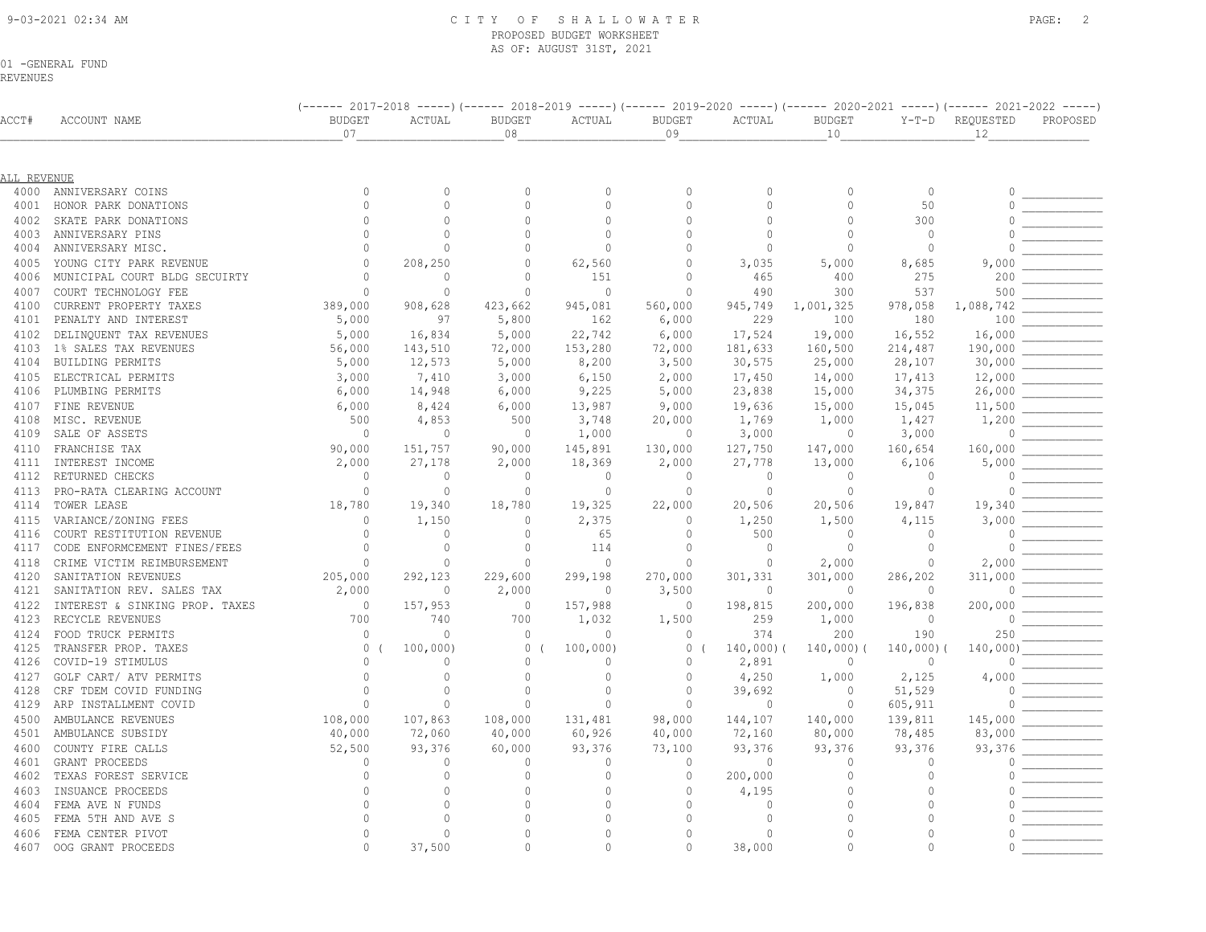#### 9-03-2021 02:34 AM C I T Y O F S H A L L O W A T E R PAGE: 2 PROPOSED BUDGET WORKSHEET AS OF: AUGUST 31ST, 2021

ACCT# ACCOUNT NAME BUDGET ACTUAL BUDGET ACTUAL BUDGET ACTUAL BUDGET Y-T-D REQUESTED PROPOSED

(------ 2017-2018 -----)(------ 2018-2019 -----)(------ 2019-2020 -----)(------ 2020-2021 -----)(------ 2021-2022 -----)<br>BUDGET ACTUAL BUDGET ACTUAL BUDGET ACTUAL BUDGET Y-T-D REQUESTED PROPOSED

01 -GENERAL FUND

REVENUES

|              |                                                    | 07                             |                         | 08                   |                         | 09                          |                    | 10                        |                         | 12                  |  |
|--------------|----------------------------------------------------|--------------------------------|-------------------------|----------------------|-------------------------|-----------------------------|--------------------|---------------------------|-------------------------|---------------------|--|
|              |                                                    |                                |                         |                      |                         |                             |                    |                           |                         |                     |  |
| ALL REVENUE  |                                                    |                                |                         |                      |                         |                             |                    |                           |                         |                     |  |
| 4000         | ANNIVERSARY COINS                                  | $\mathbf{0}$                   | $\Omega$                | $\Omega$             | $\mathbf{0}$            | $\Omega$                    | $\Omega$           | $\circ$                   | $\circ$                 | $\Omega$            |  |
| 4001         | HONOR PARK DONATIONS                               | $\mathbf{0}$                   | $\Omega$                | $\Omega$             | $\mathbf{0}$            | $\mathbf 0$                 | $\Omega$           | $\Omega$                  | 50                      |                     |  |
| 4002         | SKATE PARK DONATIONS                               | $\Omega$                       | $\cap$                  | $\bigcap$            | $\cap$                  | $\cap$                      | $\cap$             | $\Omega$                  | 300                     | $\cap$              |  |
| 4003         | ANNIVERSARY PINS                                   | $\mathbf{0}$                   | $\Omega$                | $\Omega$             | $\Omega$                | $\Omega$                    | $\Omega$           | $\mathbf{0}$              | $\circ$                 |                     |  |
| 4004         | ANNIVERSARY MISC.                                  | $\Omega$                       | $\Omega$                | $\Omega$             | $\theta$                | $\bigcap$                   | 0                  | 0                         | $\circ$                 | $\Omega$            |  |
| 4005         | YOUNG CITY PARK REVENUE                            | $\Omega$                       | 208,250                 | $\Omega$             | 62,560                  | $\mathbf 0$                 | 3,035              | 5,000                     | 8,685                   | 9,000               |  |
| 4006         | MUNICIPAL COURT BLDG SECUIRTY                      | $\overline{0}$                 | 0                       | $\Omega$             | 151                     | $\Omega$                    | 465                | 400                       | 275                     | 200                 |  |
| 4007         | COURT TECHNOLOGY FEE                               | $\Omega$                       | $\circ$                 | $\Omega$             | $\mathbf{0}$            | $\Omega$                    | 490                | 300                       | 537                     | 500                 |  |
| 4100         | CURRENT PROPERTY TAXES                             | 389,000                        | 908,628                 | 423,662              | 945,081                 | 560,000                     | 945,749            | 1,001,325                 | 978,058                 | 1,088,742           |  |
| 4101         | PENALTY AND INTEREST                               | 5,000                          | 97                      | 5,800                | 162                     | 6,000                       | 229                | 100                       | 180                     | 100                 |  |
| 4102         | DELINQUENT TAX REVENUES                            | 5,000                          | 16,834                  | 5,000                | 22,742                  | 6,000                       | 17,524             | 19,000                    | 16,552                  | 16,000              |  |
| 4103         | 1% SALES TAX REVENUES                              | 56,000                         | 143,510                 | 72,000               | 153,280                 | 72,000                      | 181,633            | 160,500                   | 214,487                 | 190,000             |  |
| 4104         | BUILDING PERMITS                                   | 5,000                          | 12,573                  | 5,000                | 8,200                   | 3,500                       | 30,575             | 25,000                    | 28,107                  | 30,000              |  |
| 4105         | ELECTRICAL PERMITS                                 | 3,000                          | 7,410                   | 3,000                | 6,150                   | 2,000                       | 17,450             | 14,000                    | 17,413                  | 12,000              |  |
| 4106         | PLUMBING PERMITS                                   | 6,000                          | 14,948                  | 6,000                | 9,225                   | 5,000                       | 23,838             | 15,000                    | 34,375                  | 26,000              |  |
| 4107         | FINE REVENUE                                       | 6,000                          | 8,424                   | 6,000                | 13,987                  | 9,000                       | 19,636             | 15,000                    | 15,045                  | 11,500              |  |
| 4108         | MISC. REVENUE                                      | 500                            | 4,853                   | 500                  | 3,748                   | 20,000                      | 1,769              | 1,000                     | 1,427                   | 1,200               |  |
| 4109         | SALE OF ASSETS                                     | $\Omega$                       | $\mathbf 0$             | $\Omega$             | 1,000                   | $\circ$                     | 3,000              | $\overline{0}$            | 3,000                   | $\Omega$            |  |
| 4110         | FRANCHISE TAX                                      | 90,000                         | 151,757                 | 90,000               | 145,891                 | 130,000                     | 127,750            | 147,000                   | 160,654                 | 160,000             |  |
|              | 4111 INTEREST INCOME                               | 2,000                          | 27,178                  | 2,000                | 18,369                  | 2,000                       | 27,778             | 13,000                    | 6,106                   | 5,000               |  |
| 4112         | RETURNED CHECKS                                    | $\Omega$                       | $\mathbf 0$             | $\circ$              | $\mathbf{0}$            | $\Omega$                    | $\circ$            | $\bigcirc$                | $\circ$                 |                     |  |
| 4113         | PRO-RATA CLEARING ACCOUNT                          | $\mathbf{0}$                   | $\circ$                 | $\Omega$             | $\circ$                 | $\mathbf 0$                 | $\circ$            | $\overline{0}$            | $\circ$                 | $\Omega$            |  |
| 4114         | TOWER LEASE                                        | 18,780                         | 19,340                  | 18,780               | 19,325                  | 22,000                      | 20,506             | 20,506                    | 19,847                  | 19,340              |  |
| 4115         | VARIANCE/ZONING FEES                               | $\mathbf{0}$                   | 1,150                   | $\Omega$             | 2,375                   | $\mathbf 0$                 | 1,250              | 1,500                     | 4,115                   | 3,000               |  |
| 4116         | COURT RESTITUTION REVENUE                          | $\circ$                        | $\circ$                 | $\Omega$             | 65                      | $\Omega$                    | 500                | $\bigcirc$                | $\circ$                 |                     |  |
| 4117         | CODE ENFORMCEMENT FINES/FEES                       | $\Omega$                       | $\mathbf{0}$            | $\Omega$             | 114                     | $\Omega$                    | $\circ$            | $\overline{0}$            | $\mathbf{0}$            | $\Omega$            |  |
| 4118         |                                                    | $\Omega$                       |                         | $\circ$              | $\mathbf{0}$            | $\Omega$                    | $\circ$            |                           | $\mathbf{0}$            |                     |  |
| 4120         | CRIME VICTIM REIMBURSEMENT<br>SANITATION REVENUES  |                                | $\mathbf{0}$<br>292,123 |                      | 299,198                 | 270,000                     | 301,331            | 2,000                     |                         | 2,000               |  |
| 4121         | SANITATION REV. SALES TAX                          | 205,000<br>2,000               | $\mathbf{0}$            | 229,600<br>2,000     | $\mathbf{0}$            | 3,500                       | $\circ$            | 301,000<br>$\overline{0}$ | 286,202<br>$\mathbf{0}$ | 311,000<br>$\Omega$ |  |
|              |                                                    |                                |                         | $\Omega$             |                         | $\Omega$                    |                    |                           |                         |                     |  |
| 4122<br>4123 | INTEREST & SINKING PROP. TAXES<br>RECYCLE REVENUES | $\circ$<br>700                 | 157,953<br>740          | 700                  | 157,988<br>1,032        | 1,500                       | 198,815<br>259     | 200,000<br>1,000          | 196,838<br>$\mathbf{0}$ | 200,000<br>$\Omega$ |  |
|              |                                                    |                                |                         | $\Omega$             |                         |                             |                    |                           |                         |                     |  |
| 4124         | FOOD TRUCK PERMITS                                 | $\mathbf{0}$<br>$\circ$        | $\circ$<br>100,000      | $\circ$              | $\mathbf{0}$            | $\circ$<br>$\circ$          | 374<br>$140,000$ ( | 200<br>140,000)           | 190                     | 250<br>140,000      |  |
| 4125<br>4126 | TRANSFER PROP. TAXES<br>COVID-19 STIMULUS          | $\overline{0}$                 | $\Omega$                | $\Omega$             | 100,000<br>$\mathbf{0}$ | $\mathbf{0}$                | 2,891              | $\mathbf{0}$              | $140,000$ )<br>$\circ$  | $\Omega$            |  |
|              |                                                    |                                |                         |                      |                         |                             |                    |                           |                         |                     |  |
| 4127         | GOLF CART/ ATV PERMITS                             | $\overline{0}$<br>$\mathbf{0}$ | $\Omega$<br>$\Omega$    | $\Omega$<br>$\Omega$ | $\mathbf{0}$            | $\mathbf{0}$                | 4,250              | 1,000                     | 2,125                   | 4,000               |  |
| 4128         | CRF TDEM COVID FUNDING                             | $\mathbf{0}$                   | $\mathbf{0}$            | $\circ$              | $\mathbf{0}$<br>$\circ$ | $\mathbf{0}$<br>$\mathbf 0$ | 39,692             | $\overline{0}$            | 51,529                  |                     |  |
| 4129         | ARP INSTALLMENT COVID                              |                                |                         |                      |                         |                             | $\mathbf{0}$       | $\overline{0}$            | 605,911                 |                     |  |
| 4500         | AMBULANCE REVENUES                                 | 108,000                        | 107,863                 | 108,000              | 131,481                 | 98,000                      | 144,107            | 140,000                   | 139,811                 | 145,000             |  |
| 4501         | AMBULANCE SUBSIDY                                  | 40,000                         | 72,060                  | 40,000               | 60,926                  | 40,000                      | 72,160             | 80,000                    | 78,485                  | 83,000              |  |
| 4600         | COUNTY FIRE CALLS                                  | 52,500                         | 93,376                  | 60,000               | 93,376                  | 73,100                      | 93,376             | 93,376                    | 93,376                  | 93,376              |  |
| 4601         | GRANT PROCEEDS                                     | $\mathbf{0}$                   | $\mathbf 0$             | $\Omega$             | $\mathbf{0}$            | $\Omega$                    | $\circ$            | $\circ$                   | $\circ$                 | $\bigcap$           |  |
| 4602         | TEXAS FOREST SERVICE                               | $\mathbb O$                    | $\Omega$                | $\Omega$             | $\circ$                 | $\mathbf 0$                 | 200,000            | $\mathbf{0}$              | $\mathbf 0$             |                     |  |
| 4603         | INSUANCE PROCEEDS                                  | $\Omega$                       | $\Omega$                | $\Omega$             | $\Omega$                | $\Omega$                    | 4,195              | $\circ$                   | $\Omega$                |                     |  |
| 4604         | FEMA AVE N FUNDS                                   | $\Omega$                       | $\Omega$                | $\Omega$             | $\mathbf{0}$            | $\Omega$                    | $\circ$            | $\mathbf{0}$              | $\Omega$                |                     |  |
| 4605         | FEMA 5TH AND AVE S                                 | $\Omega$                       | $\Omega$                | $\Omega$             | $\Omega$                | $\Omega$                    | $\bigcap$          | $\mathbf{0}$              | $\Omega$                |                     |  |
| 4606         | FEMA CENTER PIVOT                                  | $\Omega$                       | $\Omega$                | $\Omega$             | $\Omega$                | $\Omega$                    | $\Omega$           | $\mathbf{0}$              | $\Omega$                |                     |  |
| 4607         | OOG GRANT PROCEEDS                                 | $\mathbf{0}$                   | 37,500                  | $\circ$              | 0                       | $\mathbf 0$                 | 38,000             | $\mathbf{0}$              | $\circ$                 |                     |  |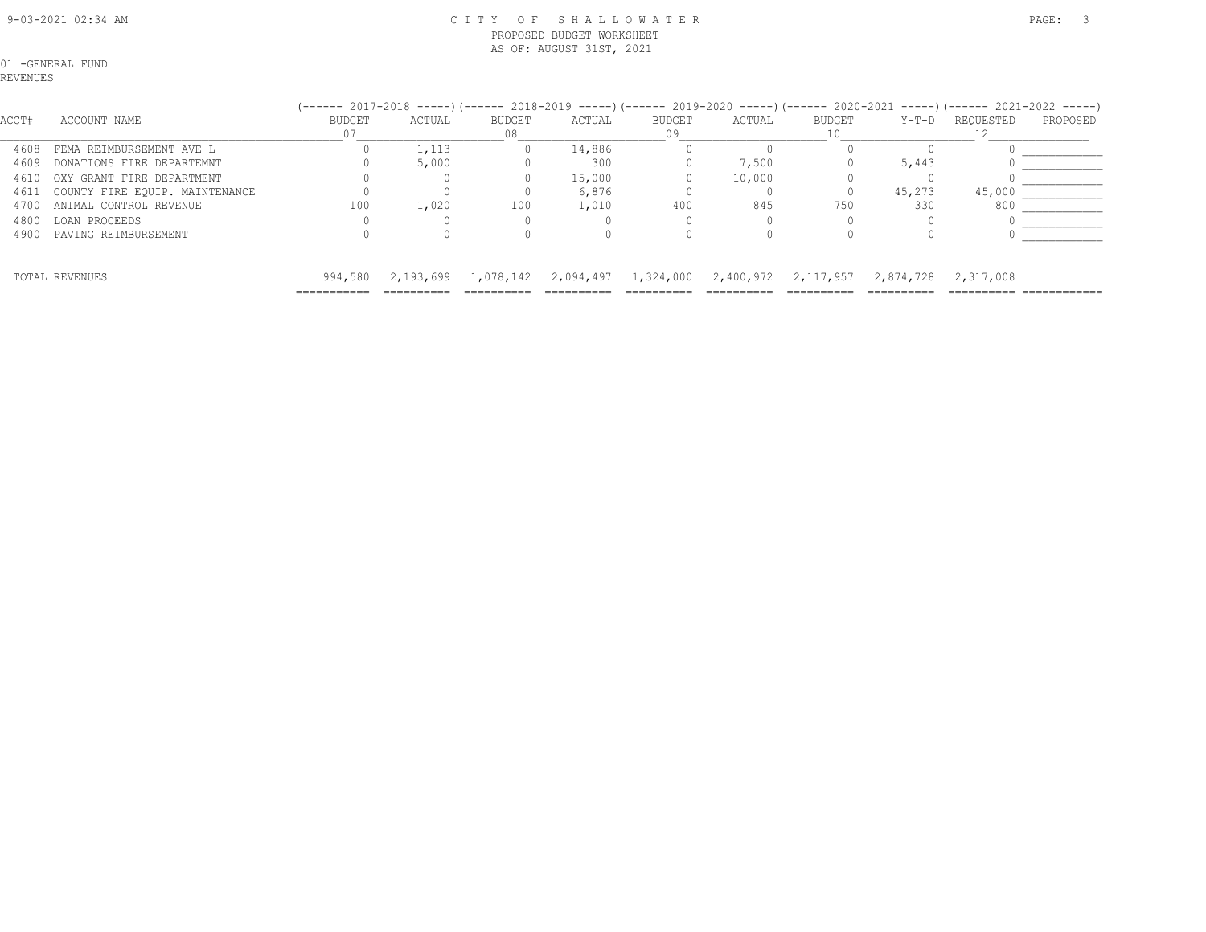#### 9-03-2021 02:34 AM C I T Y O F S H A L L O W A T E R PAGE: 3 PROPOSED BUDGET WORKSHEET AS OF: AUGUST 31ST, 2021

01 -GENERAL FUND

REVENUES

#### (------ 2017-2018 -----)(------ 2018-2019 -----)(------ 2019-2020 -----)(------ 2020-2021 -----)(------ 2021-2022 -----)

| ACCT# | ACCOUNT NAME                   | <b>BUDGET</b> | ACTUAL | <b>BUDGET</b> | ACTUAL                                                      | <b>BUDGET</b> | ACTUAL | <b>BUDGET</b> | Y-T-D               | REOUESTED | PROPOSED |
|-------|--------------------------------|---------------|--------|---------------|-------------------------------------------------------------|---------------|--------|---------------|---------------------|-----------|----------|
| 4608  | FEMA REIMBURSEMENT AVE L       |               | 1,113  |               | 14,886                                                      |               |        |               |                     |           |          |
| 4609  | DONATIONS FIRE DEPARTEMNT      |               | 5,000  |               | 300                                                         |               | 7,500  |               | 5,443               |           |          |
| 4610  | OXY GRANT FIRE DEPARTMENT      |               |        |               | 15,000                                                      |               | 10,000 |               |                     |           |          |
| 4611  | COUNTY FIRE EQUIP. MAINTENANCE |               |        |               | 6,876                                                       |               |        |               | 45,273              | 45,000    |          |
| 4700  | ANIMAL CONTROL REVENUE         | 100           | 1,020  | 100           | 1,010                                                       | 400           | 845    | 750           | 330                 | 800       |          |
| 4800  | LOAN PROCEEDS                  |               |        |               |                                                             |               |        |               |                     |           |          |
| 4900  | PAVING REIMBURSEMENT           |               |        |               |                                                             |               |        |               |                     |           |          |
|       | TOTAL REVENUES                 | 994,580       |        |               | 2,193,699 1,078,142 2,094,497 1,324,000 2,400,972 2,117,957 |               |        |               | 2,874,728 2,317,008 |           |          |
|       |                                |               |        |               | ==========                                                  |               |        |               |                     |           |          |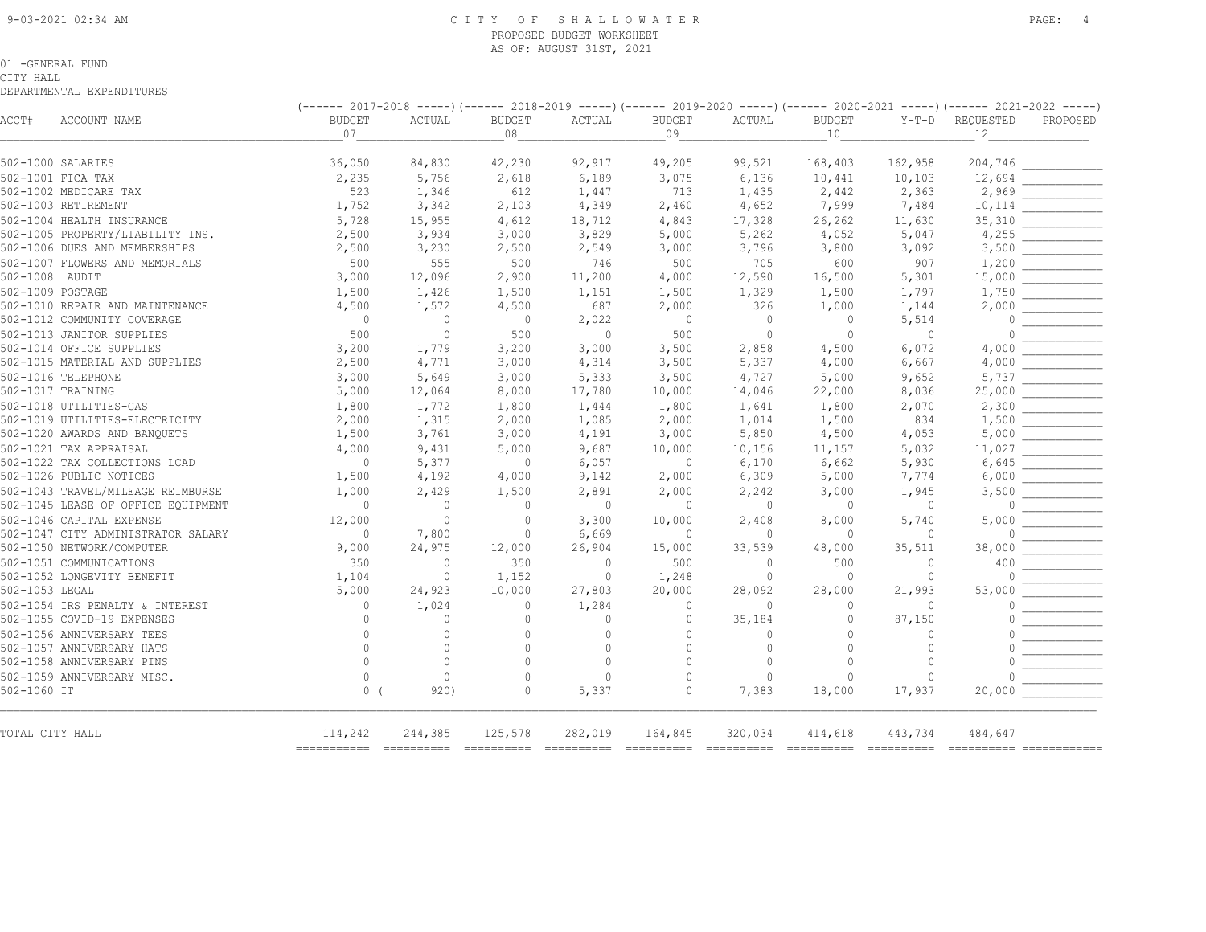#### 9-03-2021 02:34 AM C I T Y O F S H A L L O W A T E R PAGE: 4 PROPOSED BUDGET WORKSHEET AS OF: AUGUST 31ST, 2021

#### 01 -GENERAL FUND

CITY HALL

| ACCT#            | ACCOUNT NAME                       | $(---- 2017-2018 --- )$ $(---- 2018-2019 --- )$ $(---- 2019-2020 --- )$ $(---- 2020-2021 --- )$ $(---- 2020-2021)$<br><b>BUDGET</b> | ACTUAL   | <b>BUDGET</b>            | ACTUAL         | <b>BUDGET</b>  | ACTUAL       | <b>BUDGET</b> |                | Y-T-D REQUESTED PROPOSED |                          |
|------------------|------------------------------------|-------------------------------------------------------------------------------------------------------------------------------------|----------|--------------------------|----------------|----------------|--------------|---------------|----------------|--------------------------|--------------------------|
|                  |                                    | 07                                                                                                                                  |          | 08                       |                | 09             |              | 10            |                | 12                       |                          |
|                  | 502-1000 SALARIES                  | 36,050                                                                                                                              | 84,830   | 42,230                   | 92,917         | 49,205         | 99,521       | 168,403       | 162,958        |                          | $204,746$ ______________ |
|                  |                                    |                                                                                                                                     |          |                          |                |                |              |               |                |                          |                          |
|                  | 502-1001 FICA TAX                  | 2,235                                                                                                                               | 5,756    | 2,618                    | 6,189          | 3,075          | 6,136        | 10,441        | 10,103         | 12,694                   |                          |
|                  | 502-1002 MEDICARE TAX              | 523                                                                                                                                 | 1,346    | 612                      | 1,447          | 713            | 1,435        | 2,442         | 2,363          | 2,969                    |                          |
|                  | 502-1003 RETIREMENT                | 1,752                                                                                                                               | 3,342    | 2,103                    | 4,349          | 2,460          | 4,652        | 7,999         | 7,484          |                          |                          |
|                  | 502-1004 HEALTH INSURANCE          | 5,728                                                                                                                               | 15,955   | 4,612                    | 18,712         | 4,843          | 17,328       | 26,262        | 11,630         | 35,310                   |                          |
|                  | 502-1005 PROPERTY/LIABILITY INS.   | 2,500                                                                                                                               | 3,934    | 3,000                    | 3,829          | 5,000          | 5,262        | 4,052         | 5,047          | 4,255                    |                          |
|                  | 502-1006 DUES AND MEMBERSHIPS      | 2,500                                                                                                                               | 3,230    | 2,500                    | 2,549          | 3,000          | 3,796        | 3,800         | 3,092          | 3,500                    |                          |
|                  | 502-1007 FLOWERS AND MEMORIALS     | 500                                                                                                                                 | 555      | 500                      | 746            | 500            | 705          | 600           | 907            | 1,200                    |                          |
| 502-1008 AUDIT   |                                    | 3,000                                                                                                                               | 12,096   | 2,900                    | 11,200         | 4,000          | 12,590       | 16,500        | 5,301          | 15,000                   |                          |
| 502-1009 POSTAGE |                                    | 1,500                                                                                                                               | 1,426    | 1,500                    | 1,151          | 1,500          | 1,329        | 1,500         | 1,797          | 1,750                    |                          |
|                  | 502-1010 REPAIR AND MAINTENANCE    | 4,500                                                                                                                               | 1,572    | 4,500                    | 687            | 2,000          | 326          | 1,000         | 1,144          | 2,000                    |                          |
|                  | 502-1012 COMMUNITY COVERAGE        | $\overline{0}$                                                                                                                      | $\circ$  | $\overline{0}$           | 2,022          | $\overline{0}$ | $\circ$      | $\circ$       | 5,514          | $\circ$                  |                          |
|                  | 502-1013 JANITOR SUPPLIES          | 500                                                                                                                                 | $\circ$  | 500                      | $\overline{0}$ | 500            | $\circ$      | $\circ$       | $\overline{0}$ | $\mathbf{0}$             |                          |
|                  | 502-1014 OFFICE SUPPLIES           | 3,200                                                                                                                               | 1,779    | 3,200                    | 3,000          | 3,500          | 2,858        | 4,500         | 6,072          | 4,000                    |                          |
|                  | 502-1015 MATERIAL AND SUPPLIES     | 2,500                                                                                                                               | 4,771    | 3,000                    | 4,314          | 3,500          | 5,337        | 4,000         | 6,667          | 4,000                    |                          |
|                  | 502-1016 TELEPHONE                 | 3,000                                                                                                                               | 5,649    | 3,000                    | 5,333          | 3,500          | 4,727        | 5,000         | 9,652          | 5,737                    |                          |
|                  | 502-1017 TRAINING                  | 5,000                                                                                                                               | 12,064   | 8,000                    | 17,780         | 10,000         | 14,046       | 22,000        | 8,036          | 25,000                   |                          |
|                  | 502-1018 UTILITIES-GAS             | 1,800                                                                                                                               | 1,772    | 1,800                    | 1,444          | 1,800          | 1,641        | 1,800         | 2,070          | 2,300                    |                          |
|                  | 502-1019 UTILITIES-ELECTRICITY     | 2,000                                                                                                                               | 1,315    | 2,000                    | 1,085          | 2,000          | 1,014        | 1,500         | 834            | 1,500                    |                          |
|                  | 502-1020 AWARDS AND BANQUETS       | 1,500                                                                                                                               | 3,761    | 3,000                    | 4,191          | 3,000          | 5,850        | 4,500         | 4,053          | 5,000                    |                          |
|                  | 502-1021 TAX APPRAISAL             | 4,000                                                                                                                               | 9,431    | 5,000                    | 9,687          | 10,000         | 10,156       | 11,157        | 5,032          | 11,027                   |                          |
|                  | 502-1022 TAX COLLECTIONS LCAD      | $\overline{0}$                                                                                                                      |          | $\overline{\phantom{0}}$ |                | $\overline{0}$ |              |               |                |                          |                          |
|                  | 502-1026 PUBLIC NOTICES            | 1,500                                                                                                                               | 5,377    |                          | 6,057          |                | 6,170        | 6,662         | 5,930          | 6,645                    |                          |
|                  |                                    |                                                                                                                                     | 4,192    | 4,000                    | 9,142          | 2,000          | 6,309        | 5,000         | 7,774          | 6,000                    |                          |
|                  | 502-1043 TRAVEL/MILEAGE REIMBURSE  | 1,000                                                                                                                               | 2,429    | 1,500                    | 2,891          | 2,000          | 2,242        | 3,000         | 1,945          | 3,500                    |                          |
|                  | 502-1045 LEASE OF OFFICE EQUIPMENT | $\overline{0}$                                                                                                                      | $\circ$  | $\mathbf{0}$             | $\overline{0}$ | $\overline{0}$ | $\circ$      | $\circ$       | $\circ$        | $\circ$                  |                          |
|                  | 502-1046 CAPITAL EXPENSE           | 12,000                                                                                                                              | $\circ$  | $\circ$                  | 3,300          | 10,000         | 2,408        | 8,000         | 5,740          | 5,000                    |                          |
|                  | 502-1047 CITY ADMINISTRATOR SALARY | $\overline{0}$                                                                                                                      | 7,800    | $\overline{0}$           | 6,669          | $\overline{0}$ | $\circ$      | $\circ$       | $\overline{0}$ | $\Omega$                 |                          |
|                  | 502-1050 NETWORK/COMPUTER          | 9,000                                                                                                                               | 24,975   | 12,000                   | 26,904         | 15,000         | 33,539       | 48,000        | 35,511         | 38,000                   |                          |
|                  | 502-1051 COMMUNICATIONS            | 350                                                                                                                                 | $\circ$  | 350                      | $\bigcirc$     | 500            | $\bigcirc$   | 500           | $\bigcirc$     | 400                      |                          |
|                  | 502-1052 LONGEVITY BENEFIT         | 1,104                                                                                                                               | $\circ$  | 1,152                    | $\overline{0}$ | 1,248          | $\circ$      | $\circ$       | $\Omega$       | $\bigcap$                |                          |
| 502-1053 LEGAL   |                                    | 5,000                                                                                                                               | 24,923   | 10,000                   | 27,803         | 20,000         | 28,092       | 28,000        | 21,993         | 53,000                   |                          |
|                  | 502-1054 IRS PENALTY & INTEREST    | $\bigcirc$                                                                                                                          | 1,024    | $\Omega$                 | 1,284          | $\circ$        | $\Omega$     | $\circ$       | $\bigcirc$     |                          |                          |
|                  | 502-1055 COVID-19 EXPENSES         | $\Omega$                                                                                                                            | $\Omega$ | $\circ$                  | $\circ$        | $\circ$        | 35,184       | $\circ$       | 87,150         |                          |                          |
|                  | 502-1056 ANNIVERSARY TEES          | $\circ$                                                                                                                             | $\circ$  | $\circ$                  | $\mathbb{O}$   | $\circ$        | $\circ$      | $\circ$       | $\circ$        |                          |                          |
|                  | 502-1057 ANNIVERSARY HATS          | $\Omega$                                                                                                                            | $\circ$  | $\circ$                  | $\mathbf{0}$   | $\Omega$       | $\circ$      | $\circ$       | $\circ$        |                          |                          |
|                  | 502-1058 ANNIVERSARY PINS          | $\Omega$                                                                                                                            | $\circ$  | $\mathbf{0}$             | $\mathbf{0}$   | $\circ$        | $\mathbf{0}$ | $\circ$       | $\circ$        |                          |                          |
|                  | 502-1059 ANNIVERSARY MISC.         | $\circ$                                                                                                                             | $\circ$  | $\circ$                  | $\mathbf{0}$   | $\Omega$       | $\circ$      | $\circ$       | $\circ$        |                          |                          |
| 502-1060 IT      |                                    | $0-1$                                                                                                                               | 920)     | $\Omega$                 | 5,337          | $\Omega$       | 7,383        | 18,000        | 17,937         | 20,000                   |                          |
| TOTAL CITY HALL  |                                    | 114,242                                                                                                                             | 244,385  | 125,578                  | 282,019        | 164,845        | 320,034      | 414,618       | 443,734        | 484,647                  |                          |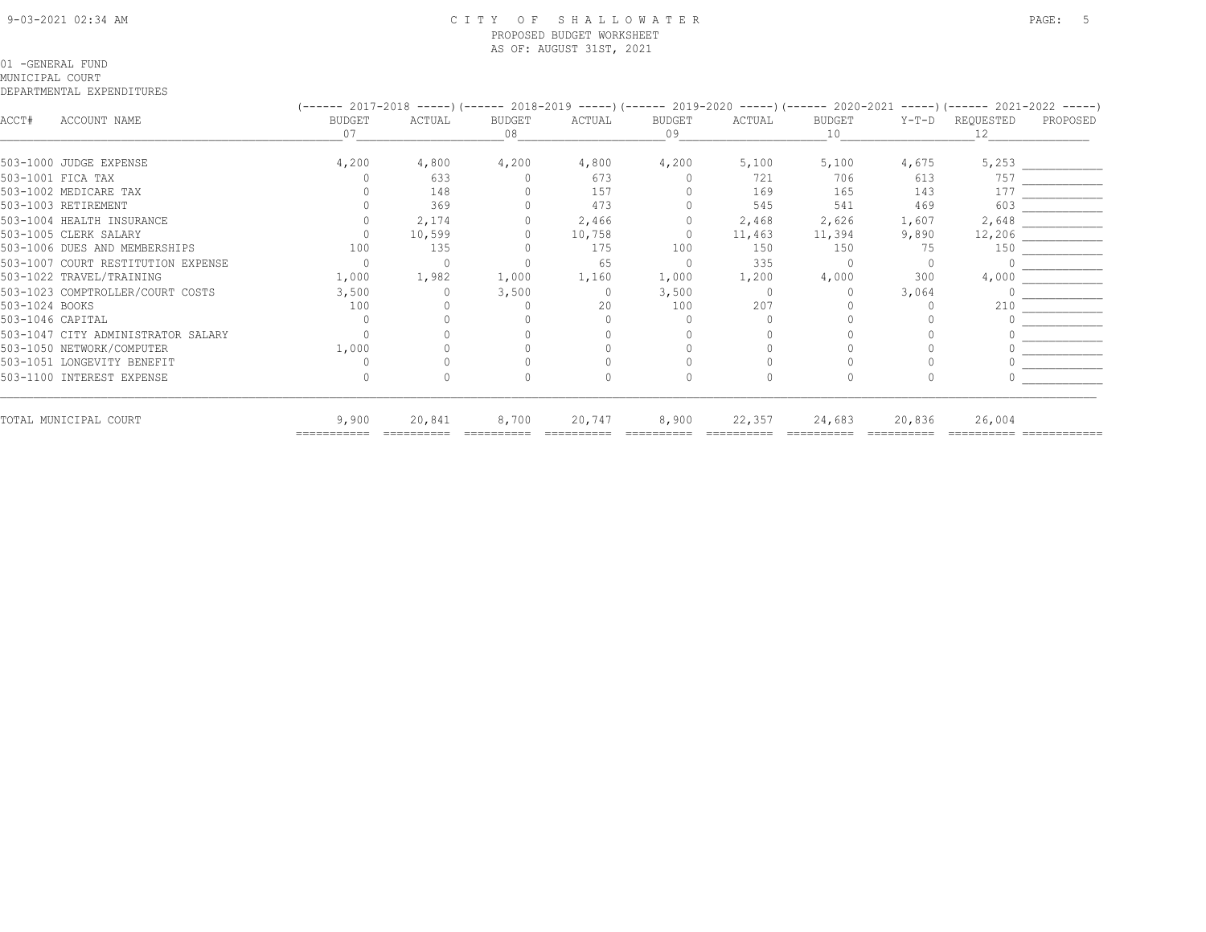#### 9-03-2021 02:34 AM C I T Y O F S H A L L O W A T E R PAGE: 5 PROPOSED BUDGET WORKSHEET AS OF: AUGUST 31ST, 2021

#### 01 -GENERAL FUND

#### MUNICIPAL COURT

|                |                                    | (------ 2017-2018 -----)(------ 2018-2019 -----)(------ 2019-2020 -----)(------ 2020-2021 -----)(------ 2021-2022 -----) |        |              |         |              |          |              |         |                 |          |
|----------------|------------------------------------|--------------------------------------------------------------------------------------------------------------------------|--------|--------------|---------|--------------|----------|--------------|---------|-----------------|----------|
| ACCT#          | ACCOUNT NAME                       | <b>BUDGET</b><br>07                                                                                                      | ACTUAL | BUDGET<br>08 | ACTUAL  | BUDGET<br>09 | ACTUAL   | BUDGET<br>10 | $Y-T-D$ | REQUESTED<br>12 | PROPOSED |
|                |                                    |                                                                                                                          |        |              |         |              |          |              |         |                 |          |
|                | 503-1000 JUDGE EXPENSE             | 4,200                                                                                                                    | 4,800  | 4,200        | 4,800   | 4,200        | 5,100    | 5,100        | 4,675   | 5,253           |          |
|                | 503-1001 FICA TAX                  |                                                                                                                          | 633    |              | 673     |              | 721      | 706          | 613     | 757             |          |
|                | 503-1002 MEDICARE TAX              |                                                                                                                          | 148    |              | 157     |              | 169      | 165          | 143     | 177             |          |
|                | 503-1003 RETIREMENT                |                                                                                                                          | 369    |              | 473     |              | 545      | 541          | 469     | 603             |          |
|                | 503-1004 HEALTH INSURANCE          |                                                                                                                          | 2,174  |              | 2,466   | $\circ$      | 2,468    | 2,626        | 1,607   | 2,648           |          |
|                | 503-1005 CLERK SALARY              |                                                                                                                          | 10,599 |              | 10,758  | $\Omega$     | 11,463   | 11,394       | 9,890   | 12,206          |          |
|                | 503-1006 DUES AND MEMBERSHIPS      | 100                                                                                                                      | 135    |              | 175     | 100          | 150      | 150          | -75     | 150             |          |
|                | 503-1007 COURT RESTITUTION EXPENSE |                                                                                                                          |        |              | 65      | $\Omega$     | 335      |              |         |                 |          |
|                | 503-1022 TRAVEL/TRAINING           | 1,000                                                                                                                    | 1,982  | 1,000        | 1,160   | 1,000        | 1,200    | 4,000        | 300     | 4,000           |          |
|                | 503-1023 COMPTROLLER/COURT COSTS   | 3,500                                                                                                                    |        | 3,500        | $\circ$ | 3,500        | $\Omega$ |              | 3,064   |                 |          |
| 503-1024 BOOKS |                                    | 100                                                                                                                      |        |              | 20      | 100          | 207      |              |         | 210             |          |
|                | 503-1046 CAPITAL                   |                                                                                                                          |        |              |         |              |          |              |         |                 |          |
|                | 503-1047 CITY ADMINISTRATOR SALARY |                                                                                                                          |        |              |         |              |          |              |         |                 |          |
|                | 503-1050 NETWORK/COMPUTER          | 1,000                                                                                                                    |        |              |         |              |          |              |         |                 |          |
|                | 503-1051 LONGEVITY BENEFIT         |                                                                                                                          |        |              |         |              |          |              |         |                 |          |
|                | 503-1100 INTEREST EXPENSE          |                                                                                                                          |        |              |         |              |          |              |         |                 |          |
|                | TOTAL MUNICIPAL COURT              | 9,900                                                                                                                    | 20,841 | 8,700        | 20,747  | 8,900        | 22,357   | 24,683       | 20,836  | 26,004          |          |
|                |                                    |                                                                                                                          |        |              |         |              |          |              |         |                 |          |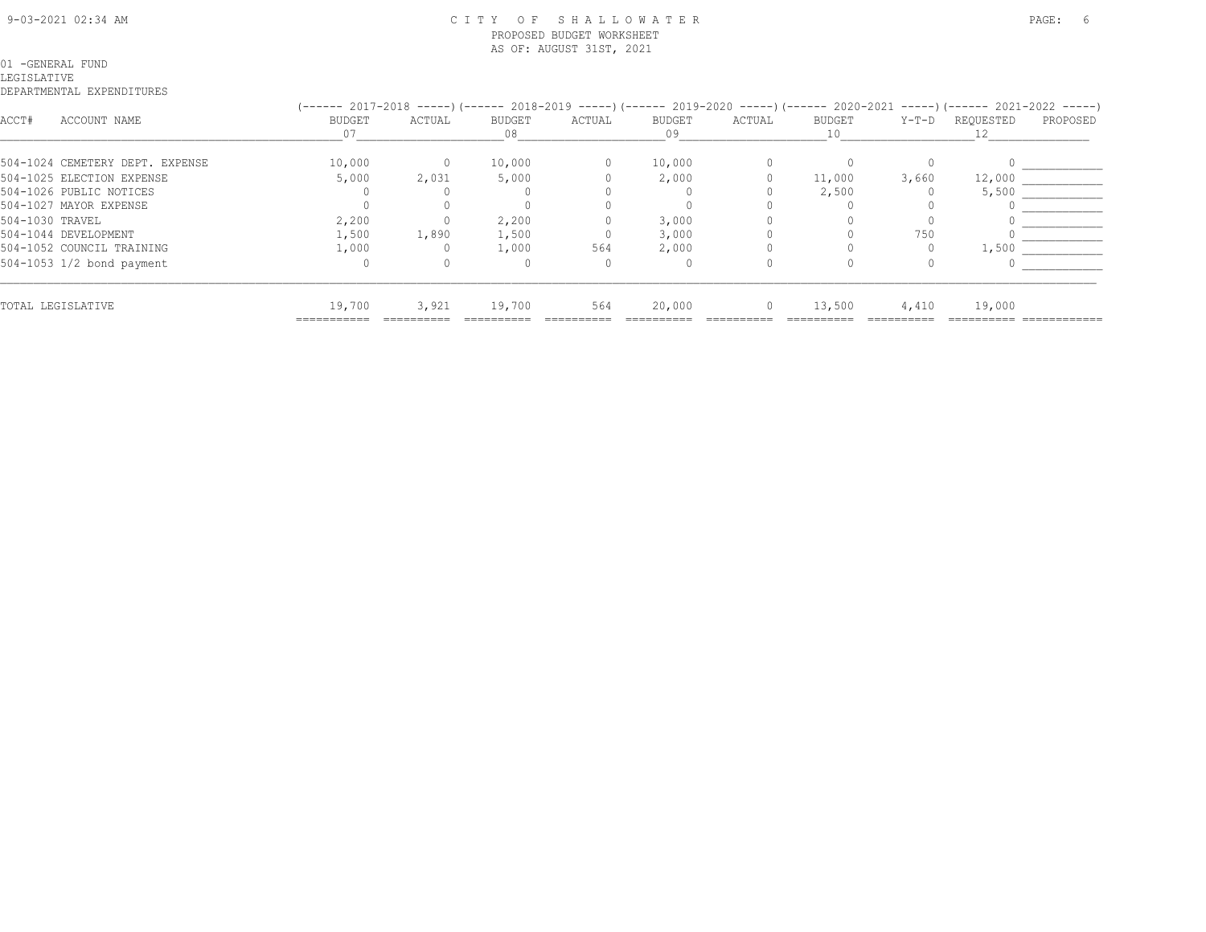#### 9-03-2021 02:34 AM C I T Y O F S H A L L O W A T E R PAGE: 6 PROPOSED BUDGET WORKSHEET AS OF: AUGUST 31ST, 2021

#### 01 -GENERAL FUND LEGISLATIVE

|                 |                                 |             |        |        |        |        |          |        |       | (------ 2017-2018 -----)(------ 2018-2019 -----)(------ 2019-2020 -----)(------ 2020-2021 -----)(------ 2021-2022 -----) |          |
|-----------------|---------------------------------|-------------|--------|--------|--------|--------|----------|--------|-------|--------------------------------------------------------------------------------------------------------------------------|----------|
| ACCT#           | ACCOUNT NAME                    | BUDGET      | ACTUAL | BUDGET | ACTUAL | BUDGET | ACTUAL   | BUDGET |       | Y-T-D REQUESTED                                                                                                          | PROPOSED |
|                 |                                 |             |        |        |        |        |          |        |       |                                                                                                                          |          |
|                 | 504-1024 CEMETERY DEPT. EXPENSE | 10,000      | 0      | 10,000 |        | 10,000 |          |        |       |                                                                                                                          |          |
|                 | 504-1025 ELECTION EXPENSE       | 5,000       | 2,031  | 5,000  |        | 2,000  |          | 11,000 | 3,660 | 12,000                                                                                                                   |          |
|                 | 504-1026 PUBLIC NOTICES         |             |        |        |        |        |          | 2,500  |       | 5,500                                                                                                                    |          |
|                 | 504-1027 MAYOR EXPENSE          |             |        |        |        |        |          |        |       |                                                                                                                          |          |
| 504-1030 TRAVEL |                                 | 2,200       |        | 2,200  |        | 3,000  |          |        |       |                                                                                                                          |          |
|                 | 504-1044 DEVELOPMENT            | 1,500       | 1,890  | 1,500  |        | 3,000  |          |        | 750   |                                                                                                                          |          |
|                 | 504-1052 COUNCIL TRAINING       | 1,000       |        | 1,000  | 564    | 2,000  |          |        |       | 1,500                                                                                                                    |          |
|                 | 504-1053 1/2 bond payment       |             |        |        |        |        |          |        |       |                                                                                                                          |          |
|                 | TOTAL LEGISLATIVE               | 19,700      | 3,921  | 19,700 | 564    | 20,000 | $\Omega$ | 13,500 | 4,410 | 19,000                                                                                                                   |          |
|                 |                                 | ----------- |        |        |        |        |          |        |       |                                                                                                                          |          |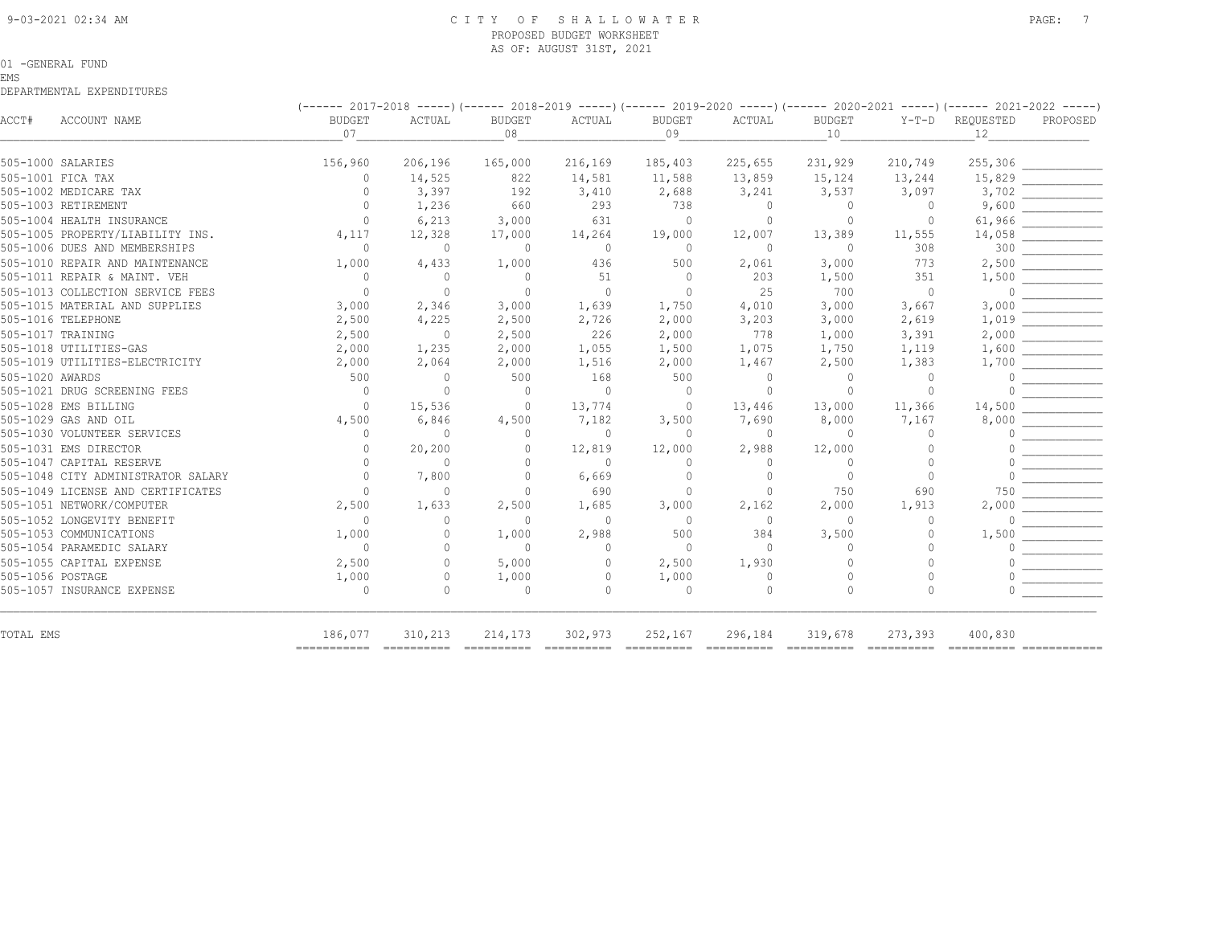#### 9-03-2021 02:34 AM C I T Y O F S H A L L O W A T E R PAGE: 7 PROPOSED BUDGET WORKSHEET AS OF: AUGUST 31ST, 2021

#### 01 -GENERAL FUND

#### EMS

|                  |                                    | (------ 2017-2018 -----) (------ 2018-2019 -----) (------ 2019-2020 -----) (------ 2020-2021 -----) (------ 2021-2022 -----) |                |                |              |               |          |                |                |           |          |  |
|------------------|------------------------------------|------------------------------------------------------------------------------------------------------------------------------|----------------|----------------|--------------|---------------|----------|----------------|----------------|-----------|----------|--|
| ACCT#            | ACCOUNT NAME                       | <b>BUDGET</b>                                                                                                                | ACTUAL         | <b>BUDGET</b>  | ACTUAL       | <b>BUDGET</b> | ACTUAL   | <b>BUDGET</b>  | Y-T-D          | REQUESTED | PROPOSED |  |
|                  |                                    | 07                                                                                                                           |                | 08             |              | 09            |          | 10             |                | 12        |          |  |
|                  | 505-1000 SALARIES                  | 156,960                                                                                                                      | 206,196        | 165,000        | 216,169      | 185,403       | 225,655  | 231,929        | 210,749        | 255,306   |          |  |
|                  | 505-1001 FICA TAX                  | $\Omega$                                                                                                                     | 14,525         | 822            | 14,581       | 11,588        | 13,859   | 15,124         | 13,244         | 15,829    |          |  |
|                  | 505-1002 MEDICARE TAX              | $\Omega$                                                                                                                     | 3,397          | 192            | 3,410        | 2,688         | 3,241    | 3,537          | 3,097          | 3,702     |          |  |
|                  | 505-1003 RETIREMENT                | $\Omega$                                                                                                                     | 1,236          | 660            | 293          | 738           | $\Omega$ | $\Omega$       | $\Omega$       | 9,600     |          |  |
|                  | 505-1004 HEALTH INSURANCE          | $\Omega$                                                                                                                     | 6,213          | 3,000          | 631          | $\Omega$      | $\Omega$ | $\Omega$       | $\circ$        | 61,966    |          |  |
|                  | 505-1005 PROPERTY/LIABILITY INS.   | 4,117                                                                                                                        | 12,328         | 17,000         | 14,264       | 19,000        | 12,007   | 13,389         | 11,555         | 14,058    |          |  |
|                  | 505-1006 DUES AND MEMBERSHIPS      | $\circ$                                                                                                                      | $\circ$        | $\Omega$       | $\circ$      | 0             | 0        | $\overline{0}$ | 308            | 300       |          |  |
|                  | 505-1010 REPAIR AND MAINTENANCE    | 1,000                                                                                                                        | 4,433          | 1,000          | 436          | 500           | 2,061    | 3,000          | 773            | 2,500     |          |  |
|                  | 505-1011 REPAIR & MAINT. VEH       | $\circ$                                                                                                                      | $\circ$        | $\overline{0}$ | 51           | $\circ$       | 203      | 1,500          | 351            | 1,500     |          |  |
|                  | 505-1013 COLLECTION SERVICE FEES   | $\circ$                                                                                                                      | $\circ$        | $\overline{0}$ | $\circ$      | $\Omega$      | 25       | 700            | $\overline{0}$ | $\Omega$  |          |  |
|                  | 505-1015 MATERIAL AND SUPPLIES     | 3,000                                                                                                                        | 2,346          | 3,000          | 1,639        | 1,750         | 4,010    | 3,000          | 3,667          | 3,000     |          |  |
|                  | 505-1016 TELEPHONE                 | 2,500                                                                                                                        | 4,225          | 2,500          | 2,726        | 2,000         | 3,203    | 3,000          | 2,619          | 1,019     |          |  |
|                  | 505-1017 TRAINING                  | 2,500                                                                                                                        | $\overline{0}$ | 2,500          | 226          | 2,000         | 778      | 1,000          | 3,391          | 2,000     |          |  |
|                  | 505-1018 UTILITIES-GAS             | 2,000                                                                                                                        | 1,235          | 2,000          | 1,055        | 1,500         | 1,075    | 1,750          | 1,119          | 1,600     |          |  |
|                  | 505-1019 UTILITIES-ELECTRICITY     | 2,000                                                                                                                        | 2,064          | 2,000          | 1,516        | 2,000         | 1,467    | 2,500          | 1,383          | 1,700     |          |  |
| 505-1020 AWARDS  |                                    | 500                                                                                                                          | $\circ$        | 500            | 168          | 500           | 0        | $\Omega$       | $\circ$        | $\bigcap$ |          |  |
|                  | 505-1021 DRUG SCREENING FEES       | $\overline{0}$                                                                                                               | $\Omega$       | $\Omega$       | $\Omega$     | $\bigcirc$    | $\Omega$ | $\bigcap$      | $\Omega$       | ∩         |          |  |
|                  | 505-1028 EMS BILLING               | $\Omega$                                                                                                                     | 15,536         | $\Omega$       | 13,774       | $\Omega$      | 13,446   | 13,000         | 11,366         | 14,500    |          |  |
|                  | 505-1029 GAS AND OIL               | 4,500                                                                                                                        | 6,846          | 4,500          | 7,182        | 3,500         | 7,690    | 8,000          | 7,167          | 8,000     |          |  |
|                  | 505-1030 VOLUNTEER SERVICES        | $\circ$                                                                                                                      | $\Omega$       | $\Omega$       | $\circ$      | $\Omega$      | $\Omega$ | $\Omega$       | $\Omega$       | $\Omega$  |          |  |
|                  | 505-1031 EMS DIRECTOR              | $\circ$                                                                                                                      | 20,200         | 0              | 12,819       | 12,000        | 2,988    | 12,000         | $\circ$        |           |          |  |
|                  | 505-1047 CAPITAL RESERVE           | $\circ$                                                                                                                      | $\circ$        | $\mathbf{0}$   | $\Omega$     | 0             | $\Omega$ | $\Omega$       | $\circ$        |           |          |  |
|                  | 505-1048 CITY ADMINISTRATOR SALARY | $\Omega$                                                                                                                     | 7,800          | $\Omega$       | 6,669        | $\Omega$      | $\Omega$ | $\overline{0}$ | $\Omega$       |           |          |  |
|                  | 505-1049 LICENSE AND CERTIFICATES  | $\Omega$                                                                                                                     | $\Omega$       | $\Omega$       | 690          | $\Omega$      | $\Omega$ | 750            | 690            | 750       |          |  |
|                  | 505-1051 NETWORK/COMPUTER          | 2,500                                                                                                                        | 1,633          | 2,500          | 1,685        | 3,000         | 2,162    | 2,000          | 1,913          | 2,000     |          |  |
|                  | 505-1052 LONGEVITY BENEFIT         | $\Omega$                                                                                                                     | $\Omega$       | $\Omega$       | $\Omega$     | $\Omega$      | $\Omega$ | $\Omega$       | $\Omega$       | ∩         |          |  |
|                  | 505-1053 COMMUNICATIONS            | 1,000                                                                                                                        | $\Omega$       | 1,000          | 2,988        | 500           | 384      | 3,500          | $\Omega$       | 1,500     |          |  |
|                  | 505-1054 PARAMEDIC SALARY          | $\Omega$                                                                                                                     | $\Omega$       | $\Omega$       | $\Omega$     | $\Omega$      | $\Omega$ | $\Omega$       | $\cap$         | ∩         |          |  |
|                  | 505-1055 CAPITAL EXPENSE           | 2,500                                                                                                                        | $\Omega$       | 5,000          | $\Omega$     | 2,500         | 1,930    |                | $\cap$         | ∩         |          |  |
| 505-1056 POSTAGE |                                    | 1,000                                                                                                                        | 0              | 1,000          | $\mathbf{0}$ | 1,000         | 0        | $\bigcap$      | $\circ$        | ∩         |          |  |
|                  | 505-1057 INSURANCE EXPENSE         | $\circ$                                                                                                                      | $\Omega$       | $\Omega$       | $\Omega$     | $\Omega$      | $\Omega$ | $\Omega$       | $\Omega$       | $\bigcap$ |          |  |
| TOTAL EMS        |                                    | 186,077                                                                                                                      | 310,213        | 214,173        | 302,973      | 252,167       | 296,184  | 319,678        | 273,393        | 400,830   |          |  |
|                  |                                    |                                                                                                                              |                |                |              |               |          |                |                |           |          |  |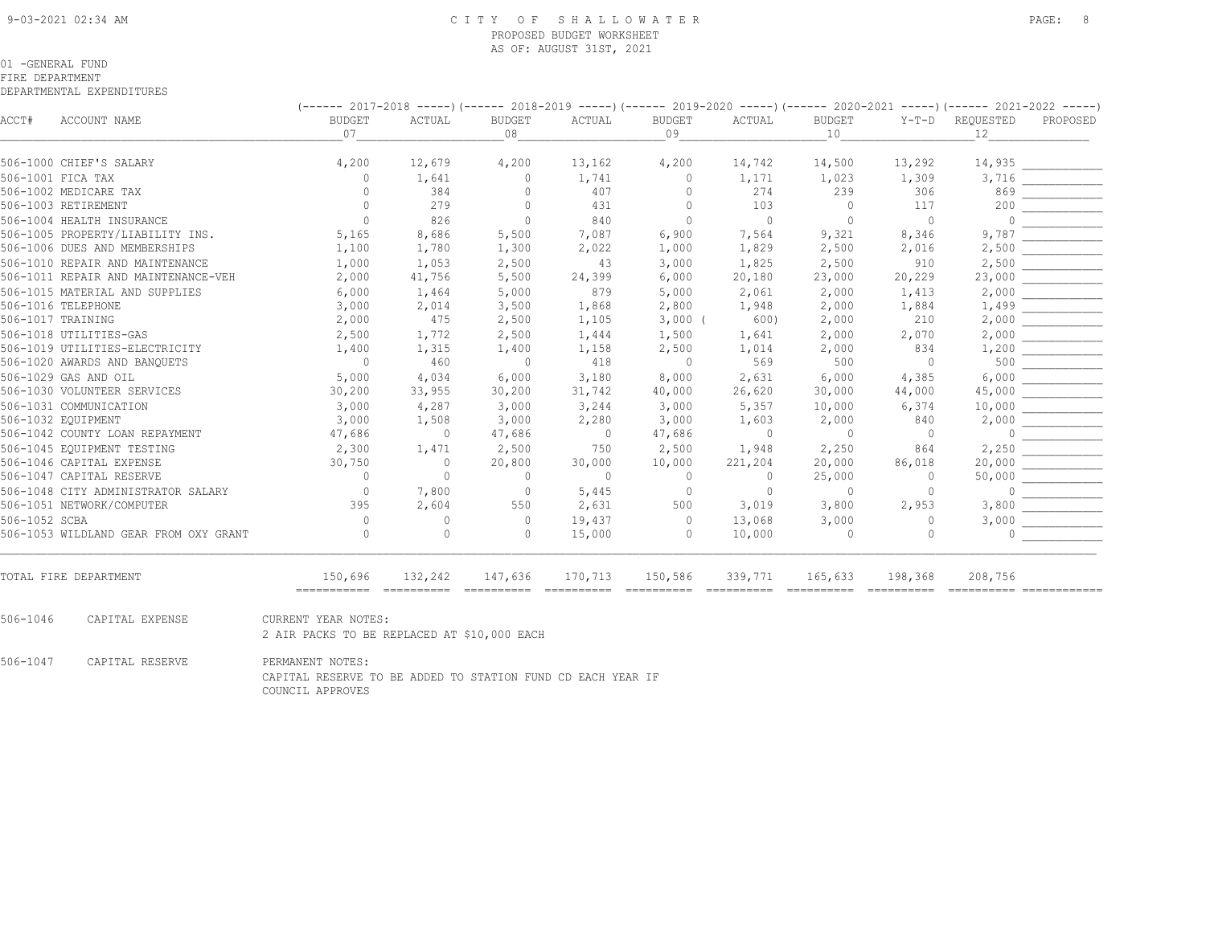#### 9-03-2021 02:34 AM C I T Y O F S H A L L O W A T E R PAGE: 8 PROPOSED BUDGET WORKSHEET AS OF: AUGUST 31ST, 2021

#### 01 -GENERAL FUND

#### FIRE DEPARTMENT

|               |                                       | (------ 2017-2018 -----)(------ 2018-2019 -----)(------ 2019-2020 -----)(------ 2020-2021 -----)(------ 2021-2022 -----) |                                                                                                                                                                                                                                                                                                                                                                                                                                                                                                   |                                                                                                                                                                                                                                                                                                                                                                                                                                                                                                   |                        |                        |                        |                                                                                                                                                                                                                                                                                                                                                                                                                                                                                                   |                                                                                                                                                                                                                                                                                                                                                                                                                                                                                                   |                                                                                                                                                                                                                                                                                                                                                                                                                                                                                                   |             |
|---------------|---------------------------------------|--------------------------------------------------------------------------------------------------------------------------|---------------------------------------------------------------------------------------------------------------------------------------------------------------------------------------------------------------------------------------------------------------------------------------------------------------------------------------------------------------------------------------------------------------------------------------------------------------------------------------------------|---------------------------------------------------------------------------------------------------------------------------------------------------------------------------------------------------------------------------------------------------------------------------------------------------------------------------------------------------------------------------------------------------------------------------------------------------------------------------------------------------|------------------------|------------------------|------------------------|---------------------------------------------------------------------------------------------------------------------------------------------------------------------------------------------------------------------------------------------------------------------------------------------------------------------------------------------------------------------------------------------------------------------------------------------------------------------------------------------------|---------------------------------------------------------------------------------------------------------------------------------------------------------------------------------------------------------------------------------------------------------------------------------------------------------------------------------------------------------------------------------------------------------------------------------------------------------------------------------------------------|---------------------------------------------------------------------------------------------------------------------------------------------------------------------------------------------------------------------------------------------------------------------------------------------------------------------------------------------------------------------------------------------------------------------------------------------------------------------------------------------------|-------------|
| ACCT#         | ACCOUNT NAME                          | <b>BUDGET</b>                                                                                                            | ACTUAL                                                                                                                                                                                                                                                                                                                                                                                                                                                                                            | <b>BUDGET</b>                                                                                                                                                                                                                                                                                                                                                                                                                                                                                     | ACTUAL                 | <b>BUDGET</b>          | ACTUAL                 | <b>BUDGET</b>                                                                                                                                                                                                                                                                                                                                                                                                                                                                                     | $Y-T-D$                                                                                                                                                                                                                                                                                                                                                                                                                                                                                           | REQUESTED                                                                                                                                                                                                                                                                                                                                                                                                                                                                                         | PROPOSED    |
|               |                                       | 07                                                                                                                       |                                                                                                                                                                                                                                                                                                                                                                                                                                                                                                   | 08                                                                                                                                                                                                                                                                                                                                                                                                                                                                                                |                        | 09                     |                        | 10                                                                                                                                                                                                                                                                                                                                                                                                                                                                                                |                                                                                                                                                                                                                                                                                                                                                                                                                                                                                                   | 12                                                                                                                                                                                                                                                                                                                                                                                                                                                                                                |             |
|               | 506-1000 CHIEF'S SALARY               | 4,200                                                                                                                    | 12,679                                                                                                                                                                                                                                                                                                                                                                                                                                                                                            | 4,200                                                                                                                                                                                                                                                                                                                                                                                                                                                                                             | 13,162                 | 4,200                  | 14,742                 | 14,500                                                                                                                                                                                                                                                                                                                                                                                                                                                                                            | 13,292                                                                                                                                                                                                                                                                                                                                                                                                                                                                                            | 14,935                                                                                                                                                                                                                                                                                                                                                                                                                                                                                            |             |
|               | 506-1001 FICA TAX                     | $\Omega$                                                                                                                 | 1,641                                                                                                                                                                                                                                                                                                                                                                                                                                                                                             | $\Omega$                                                                                                                                                                                                                                                                                                                                                                                                                                                                                          | 1,741                  | $\mathbf 0$            | 1,171                  | 1,023                                                                                                                                                                                                                                                                                                                                                                                                                                                                                             | 1,309                                                                                                                                                                                                                                                                                                                                                                                                                                                                                             | 3,716                                                                                                                                                                                                                                                                                                                                                                                                                                                                                             |             |
|               | 506-1002 MEDICARE TAX                 | $\Omega$                                                                                                                 | 384                                                                                                                                                                                                                                                                                                                                                                                                                                                                                               | 0                                                                                                                                                                                                                                                                                                                                                                                                                                                                                                 | 407                    | $\mathbf{0}$           | 274                    | 239                                                                                                                                                                                                                                                                                                                                                                                                                                                                                               | 306                                                                                                                                                                                                                                                                                                                                                                                                                                                                                               | 869                                                                                                                                                                                                                                                                                                                                                                                                                                                                                               |             |
|               | 506-1003 RETIREMENT                   | $\Omega$                                                                                                                 | 279                                                                                                                                                                                                                                                                                                                                                                                                                                                                                               | $\mathbf{0}$                                                                                                                                                                                                                                                                                                                                                                                                                                                                                      | 431                    | $\circ$                | 103                    | $\overline{0}$                                                                                                                                                                                                                                                                                                                                                                                                                                                                                    | 117                                                                                                                                                                                                                                                                                                                                                                                                                                                                                               | 200                                                                                                                                                                                                                                                                                                                                                                                                                                                                                               |             |
|               | 506-1004 HEALTH INSURANCE             | $\Omega$                                                                                                                 | 826                                                                                                                                                                                                                                                                                                                                                                                                                                                                                               | $\circ$                                                                                                                                                                                                                                                                                                                                                                                                                                                                                           | 840                    | $\Omega$               | $\mathbf{0}$           | $\Omega$                                                                                                                                                                                                                                                                                                                                                                                                                                                                                          | $\mathbf{0}$                                                                                                                                                                                                                                                                                                                                                                                                                                                                                      | $\cap$                                                                                                                                                                                                                                                                                                                                                                                                                                                                                            |             |
|               | 506-1005 PROPERTY/LIABILITY INS.      | 5,165                                                                                                                    | 8,686                                                                                                                                                                                                                                                                                                                                                                                                                                                                                             | 5,500                                                                                                                                                                                                                                                                                                                                                                                                                                                                                             | 7,087                  | 6,900                  | 7,564                  | 9,321                                                                                                                                                                                                                                                                                                                                                                                                                                                                                             | 8,346                                                                                                                                                                                                                                                                                                                                                                                                                                                                                             | 9,787                                                                                                                                                                                                                                                                                                                                                                                                                                                                                             |             |
|               | 506-1006 DUES AND MEMBERSHIPS         | 1,100                                                                                                                    | 1,780                                                                                                                                                                                                                                                                                                                                                                                                                                                                                             | 1,300                                                                                                                                                                                                                                                                                                                                                                                                                                                                                             | 2,022                  | 1,000                  | 1,829                  | 2,500                                                                                                                                                                                                                                                                                                                                                                                                                                                                                             | 2,016                                                                                                                                                                                                                                                                                                                                                                                                                                                                                             | 2,500                                                                                                                                                                                                                                                                                                                                                                                                                                                                                             |             |
|               | 506-1010 REPAIR AND MAINTENANCE       | 1,000                                                                                                                    | 1,053                                                                                                                                                                                                                                                                                                                                                                                                                                                                                             | 2,500                                                                                                                                                                                                                                                                                                                                                                                                                                                                                             | 43                     | 3,000                  | 1,825                  | 2,500                                                                                                                                                                                                                                                                                                                                                                                                                                                                                             | 910                                                                                                                                                                                                                                                                                                                                                                                                                                                                                               | 2,500                                                                                                                                                                                                                                                                                                                                                                                                                                                                                             |             |
|               | 506-1011 REPAIR AND MAINTENANCE-VEH   | 2,000                                                                                                                    | 41,756                                                                                                                                                                                                                                                                                                                                                                                                                                                                                            | 5,500                                                                                                                                                                                                                                                                                                                                                                                                                                                                                             | 24,399                 | 6,000                  | 20,180                 | 23,000                                                                                                                                                                                                                                                                                                                                                                                                                                                                                            | 20,229                                                                                                                                                                                                                                                                                                                                                                                                                                                                                            | 23,000                                                                                                                                                                                                                                                                                                                                                                                                                                                                                            |             |
|               | 506-1015 MATERIAL AND SUPPLIES        | 6,000                                                                                                                    | 1,464                                                                                                                                                                                                                                                                                                                                                                                                                                                                                             | 5,000                                                                                                                                                                                                                                                                                                                                                                                                                                                                                             | 879                    | 5,000                  | 2,061                  | 2,000                                                                                                                                                                                                                                                                                                                                                                                                                                                                                             | 1,413                                                                                                                                                                                                                                                                                                                                                                                                                                                                                             | 2,000                                                                                                                                                                                                                                                                                                                                                                                                                                                                                             |             |
|               | 506-1016 TELEPHONE                    | 3,000                                                                                                                    | 2,014                                                                                                                                                                                                                                                                                                                                                                                                                                                                                             | 3,500                                                                                                                                                                                                                                                                                                                                                                                                                                                                                             | 1,868                  | 2,800                  | 1,948                  | 2,000                                                                                                                                                                                                                                                                                                                                                                                                                                                                                             | 1,884                                                                                                                                                                                                                                                                                                                                                                                                                                                                                             | 1,499                                                                                                                                                                                                                                                                                                                                                                                                                                                                                             |             |
|               | 506-1017 TRAINING                     | 2,000                                                                                                                    | 475                                                                                                                                                                                                                                                                                                                                                                                                                                                                                               | 2,500                                                                                                                                                                                                                                                                                                                                                                                                                                                                                             | 1,105                  | $3,000$ (              | 600)                   | 2,000                                                                                                                                                                                                                                                                                                                                                                                                                                                                                             | 210                                                                                                                                                                                                                                                                                                                                                                                                                                                                                               | 2,000                                                                                                                                                                                                                                                                                                                                                                                                                                                                                             |             |
|               | 506-1018 UTILITIES-GAS                | 2,500                                                                                                                    | 1,772                                                                                                                                                                                                                                                                                                                                                                                                                                                                                             | 2,500                                                                                                                                                                                                                                                                                                                                                                                                                                                                                             | 1,444                  | 1,500                  | 1,641                  | 2,000                                                                                                                                                                                                                                                                                                                                                                                                                                                                                             | 2,070                                                                                                                                                                                                                                                                                                                                                                                                                                                                                             | 2,000                                                                                                                                                                                                                                                                                                                                                                                                                                                                                             |             |
|               | 506-1019 UTILITIES-ELECTRICITY        | 1,400                                                                                                                    | 1,315                                                                                                                                                                                                                                                                                                                                                                                                                                                                                             | 1,400                                                                                                                                                                                                                                                                                                                                                                                                                                                                                             | 1,158                  | 2,500                  | 1,014                  | 2,000                                                                                                                                                                                                                                                                                                                                                                                                                                                                                             | 834                                                                                                                                                                                                                                                                                                                                                                                                                                                                                               | 1,200                                                                                                                                                                                                                                                                                                                                                                                                                                                                                             |             |
|               | 506-1020 AWARDS AND BANQUETS          | $\overline{0}$                                                                                                           | 460                                                                                                                                                                                                                                                                                                                                                                                                                                                                                               | $\overline{0}$                                                                                                                                                                                                                                                                                                                                                                                                                                                                                    | 418                    | $\overline{0}$         | 569                    | 500                                                                                                                                                                                                                                                                                                                                                                                                                                                                                               | $\overline{0}$                                                                                                                                                                                                                                                                                                                                                                                                                                                                                    | 500                                                                                                                                                                                                                                                                                                                                                                                                                                                                                               |             |
|               | 506-1029 GAS AND OIL                  | 5,000                                                                                                                    | 4,034                                                                                                                                                                                                                                                                                                                                                                                                                                                                                             | 6,000                                                                                                                                                                                                                                                                                                                                                                                                                                                                                             | 3,180                  | 8,000                  | 2,631                  | 6,000                                                                                                                                                                                                                                                                                                                                                                                                                                                                                             | 4,385                                                                                                                                                                                                                                                                                                                                                                                                                                                                                             | 6,000                                                                                                                                                                                                                                                                                                                                                                                                                                                                                             |             |
|               | 506-1030 VOLUNTEER SERVICES           | 30,200                                                                                                                   | 33,955                                                                                                                                                                                                                                                                                                                                                                                                                                                                                            | 30,200                                                                                                                                                                                                                                                                                                                                                                                                                                                                                            | 31,742                 | 40,000                 | 26,620                 | 30,000                                                                                                                                                                                                                                                                                                                                                                                                                                                                                            | 44,000                                                                                                                                                                                                                                                                                                                                                                                                                                                                                            | 45,000                                                                                                                                                                                                                                                                                                                                                                                                                                                                                            |             |
|               | 506-1031 COMMUNICATION                | 3,000                                                                                                                    | 4,287                                                                                                                                                                                                                                                                                                                                                                                                                                                                                             | 3,000                                                                                                                                                                                                                                                                                                                                                                                                                                                                                             | 3,244                  | 3,000                  | 5,357                  | 10,000                                                                                                                                                                                                                                                                                                                                                                                                                                                                                            | 6,374                                                                                                                                                                                                                                                                                                                                                                                                                                                                                             | 10,000                                                                                                                                                                                                                                                                                                                                                                                                                                                                                            |             |
|               | 506-1032 EQUIPMENT                    | 3,000                                                                                                                    | 1,508                                                                                                                                                                                                                                                                                                                                                                                                                                                                                             | 3,000                                                                                                                                                                                                                                                                                                                                                                                                                                                                                             | 2,280                  | 3,000                  | 1,603                  | 2,000                                                                                                                                                                                                                                                                                                                                                                                                                                                                                             | 840                                                                                                                                                                                                                                                                                                                                                                                                                                                                                               | 2,000                                                                                                                                                                                                                                                                                                                                                                                                                                                                                             |             |
|               | 506-1042 COUNTY LOAN REPAYMENT        | 47,686                                                                                                                   | $\overline{0}$                                                                                                                                                                                                                                                                                                                                                                                                                                                                                    | 47,686                                                                                                                                                                                                                                                                                                                                                                                                                                                                                            | $\circ$                | 47,686                 | $\overline{0}$         | $\bigcirc$                                                                                                                                                                                                                                                                                                                                                                                                                                                                                        | $\overline{0}$                                                                                                                                                                                                                                                                                                                                                                                                                                                                                    |                                                                                                                                                                                                                                                                                                                                                                                                                                                                                                   |             |
|               | 506-1045 EQUIPMENT TESTING            | 2,300                                                                                                                    | 1,471                                                                                                                                                                                                                                                                                                                                                                                                                                                                                             | 2,500                                                                                                                                                                                                                                                                                                                                                                                                                                                                                             | 750                    | 2,500                  | 1,948                  | 2,250                                                                                                                                                                                                                                                                                                                                                                                                                                                                                             | 864                                                                                                                                                                                                                                                                                                                                                                                                                                                                                               | 2,250                                                                                                                                                                                                                                                                                                                                                                                                                                                                                             |             |
|               | 506-1046 CAPITAL EXPENSE              | 30,750                                                                                                                   | $\circ$                                                                                                                                                                                                                                                                                                                                                                                                                                                                                           | 20,800                                                                                                                                                                                                                                                                                                                                                                                                                                                                                            | 30,000                 | 10,000                 | 221,204                | 20,000                                                                                                                                                                                                                                                                                                                                                                                                                                                                                            | 86,018                                                                                                                                                                                                                                                                                                                                                                                                                                                                                            | 20,000                                                                                                                                                                                                                                                                                                                                                                                                                                                                                            |             |
|               | 506-1047 CAPITAL RESERVE              | $\circ$                                                                                                                  | $\circ$                                                                                                                                                                                                                                                                                                                                                                                                                                                                                           | $\Omega$                                                                                                                                                                                                                                                                                                                                                                                                                                                                                          | $\circ$                | $\circ$                | 0                      | 25,000                                                                                                                                                                                                                                                                                                                                                                                                                                                                                            | 0                                                                                                                                                                                                                                                                                                                                                                                                                                                                                                 | 50,000                                                                                                                                                                                                                                                                                                                                                                                                                                                                                            |             |
|               | 506-1048 CITY ADMINISTRATOR SALARY    | $\circ$                                                                                                                  | 7,800                                                                                                                                                                                                                                                                                                                                                                                                                                                                                             | $\overline{0}$                                                                                                                                                                                                                                                                                                                                                                                                                                                                                    | 5,445                  | $\overline{0}$         | $\circ$                | $\overline{0}$                                                                                                                                                                                                                                                                                                                                                                                                                                                                                    | $\circ$                                                                                                                                                                                                                                                                                                                                                                                                                                                                                           | $\cap$                                                                                                                                                                                                                                                                                                                                                                                                                                                                                            |             |
|               | 506-1051 NETWORK/COMPUTER             | 395                                                                                                                      | 2,604                                                                                                                                                                                                                                                                                                                                                                                                                                                                                             | 550                                                                                                                                                                                                                                                                                                                                                                                                                                                                                               | 2,631                  | 500                    | 3,019                  | 3,800                                                                                                                                                                                                                                                                                                                                                                                                                                                                                             | 2,953                                                                                                                                                                                                                                                                                                                                                                                                                                                                                             | 3,800                                                                                                                                                                                                                                                                                                                                                                                                                                                                                             |             |
| 506-1052 SCBA |                                       | $\Omega$                                                                                                                 | $\circ$                                                                                                                                                                                                                                                                                                                                                                                                                                                                                           | $\circ$                                                                                                                                                                                                                                                                                                                                                                                                                                                                                           | 19,437                 | $\circ$                | 13,068                 | 3,000                                                                                                                                                                                                                                                                                                                                                                                                                                                                                             | $\circ$                                                                                                                                                                                                                                                                                                                                                                                                                                                                                           | 3,000                                                                                                                                                                                                                                                                                                                                                                                                                                                                                             |             |
|               | 506-1053 WILDLAND GEAR FROM OXY GRANT | $\bigcap$                                                                                                                | $\Omega$                                                                                                                                                                                                                                                                                                                                                                                                                                                                                          | $\Omega$                                                                                                                                                                                                                                                                                                                                                                                                                                                                                          | 15,000                 | $\Omega$               | 10,000                 | $\Omega$                                                                                                                                                                                                                                                                                                                                                                                                                                                                                          | $\Omega$                                                                                                                                                                                                                                                                                                                                                                                                                                                                                          | $\bigcap$                                                                                                                                                                                                                                                                                                                                                                                                                                                                                         |             |
|               | TOTAL FIRE DEPARTMENT                 | 150,696<br>-----------                                                                                                   | 132,242<br>$\begin{array}{cccccccccc} \multicolumn{2}{c}{} & \multicolumn{2}{c}{} & \multicolumn{2}{c}{} & \multicolumn{2}{c}{} & \multicolumn{2}{c}{} & \multicolumn{2}{c}{} & \multicolumn{2}{c}{} & \multicolumn{2}{c}{} & \multicolumn{2}{c}{} & \multicolumn{2}{c}{} & \multicolumn{2}{c}{} & \multicolumn{2}{c}{} & \multicolumn{2}{c}{} & \multicolumn{2}{c}{} & \multicolumn{2}{c}{} & \multicolumn{2}{c}{} & \multicolumn{2}{c}{} & \multicolumn{2}{c}{} & \multicolumn{2}{c}{} & \mult$ | 147,636<br>$\begin{array}{cccccccccc} \multicolumn{2}{c}{} & \multicolumn{2}{c}{} & \multicolumn{2}{c}{} & \multicolumn{2}{c}{} & \multicolumn{2}{c}{} & \multicolumn{2}{c}{} & \multicolumn{2}{c}{} & \multicolumn{2}{c}{} & \multicolumn{2}{c}{} & \multicolumn{2}{c}{} & \multicolumn{2}{c}{} & \multicolumn{2}{c}{} & \multicolumn{2}{c}{} & \multicolumn{2}{c}{} & \multicolumn{2}{c}{} & \multicolumn{2}{c}{} & \multicolumn{2}{c}{} & \multicolumn{2}{c}{} & \multicolumn{2}{c}{} & \mult$ | 170,713<br>----------- | 150,586<br>----------- | 339,771<br>----------- | 165,633<br>$\begin{array}{cccccccccc} \multicolumn{2}{c}{} & \multicolumn{2}{c}{} & \multicolumn{2}{c}{} & \multicolumn{2}{c}{} & \multicolumn{2}{c}{} & \multicolumn{2}{c}{} & \multicolumn{2}{c}{} & \multicolumn{2}{c}{} & \multicolumn{2}{c}{} & \multicolumn{2}{c}{} & \multicolumn{2}{c}{} & \multicolumn{2}{c}{} & \multicolumn{2}{c}{} & \multicolumn{2}{c}{} & \multicolumn{2}{c}{} & \multicolumn{2}{c}{} & \multicolumn{2}{c}{} & \multicolumn{2}{c}{} & \multicolumn{2}{c}{} & \mult$ | 198,368<br>$\begin{array}{cccccccccc} \multicolumn{2}{c}{} & \multicolumn{2}{c}{} & \multicolumn{2}{c}{} & \multicolumn{2}{c}{} & \multicolumn{2}{c}{} & \multicolumn{2}{c}{} & \multicolumn{2}{c}{} & \multicolumn{2}{c}{} & \multicolumn{2}{c}{} & \multicolumn{2}{c}{} & \multicolumn{2}{c}{} & \multicolumn{2}{c}{} & \multicolumn{2}{c}{} & \multicolumn{2}{c}{} & \multicolumn{2}{c}{} & \multicolumn{2}{c}{} & \multicolumn{2}{c}{} & \multicolumn{2}{c}{} & \multicolumn{2}{c}{} & \mult$ | 208,756<br>$\begin{array}{cccccccccc} \multicolumn{2}{c}{} & \multicolumn{2}{c}{} & \multicolumn{2}{c}{} & \multicolumn{2}{c}{} & \multicolumn{2}{c}{} & \multicolumn{2}{c}{} & \multicolumn{2}{c}{} & \multicolumn{2}{c}{} & \multicolumn{2}{c}{} & \multicolumn{2}{c}{} & \multicolumn{2}{c}{} & \multicolumn{2}{c}{} & \multicolumn{2}{c}{} & \multicolumn{2}{c}{} & \multicolumn{2}{c}{} & \multicolumn{2}{c}{} & \multicolumn{2}{c}{} & \multicolumn{2}{c}{} & \multicolumn{2}{c}{} & \mult$ | ----------- |
| $506 - 1046$  | CAPITAL EXPENSE                       | CURRENT YEAR NOTES:                                                                                                      |                                                                                                                                                                                                                                                                                                                                                                                                                                                                                                   |                                                                                                                                                                                                                                                                                                                                                                                                                                                                                                   |                        |                        |                        |                                                                                                                                                                                                                                                                                                                                                                                                                                                                                                   |                                                                                                                                                                                                                                                                                                                                                                                                                                                                                                   |                                                                                                                                                                                                                                                                                                                                                                                                                                                                                                   |             |
|               |                                       | 2 AIR PACKS TO BE REPLACED AT \$10,000 EACH                                                                              |                                                                                                                                                                                                                                                                                                                                                                                                                                                                                                   |                                                                                                                                                                                                                                                                                                                                                                                                                                                                                                   |                        |                        |                        |                                                                                                                                                                                                                                                                                                                                                                                                                                                                                                   |                                                                                                                                                                                                                                                                                                                                                                                                                                                                                                   |                                                                                                                                                                                                                                                                                                                                                                                                                                                                                                   |             |
| 506-1047      | CAPITAL RESERVE                       | PERMANENT NOTES:<br>CAPITAL RESERVE TO BE ADDED TO STATION FUND CD EACH YEAR IF<br>COUNCIL APPROVES                      |                                                                                                                                                                                                                                                                                                                                                                                                                                                                                                   |                                                                                                                                                                                                                                                                                                                                                                                                                                                                                                   |                        |                        |                        |                                                                                                                                                                                                                                                                                                                                                                                                                                                                                                   |                                                                                                                                                                                                                                                                                                                                                                                                                                                                                                   |                                                                                                                                                                                                                                                                                                                                                                                                                                                                                                   |             |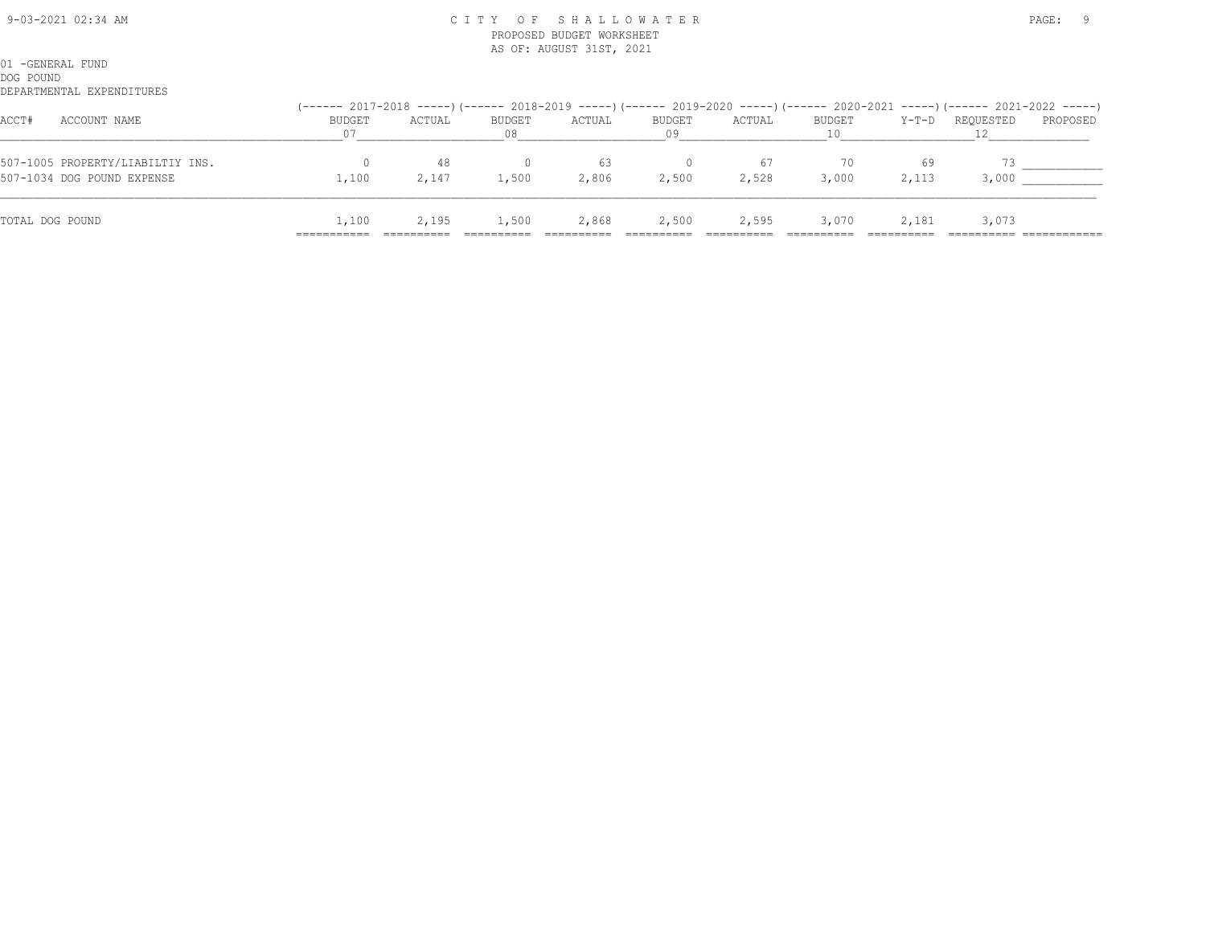#### 9-03-2021 02:34 AM C I T Y O F S H A L L O W A T E R PAGE: 9 PROPOSED BUDGET WORKSHEET AS OF: AUGUST 31ST, 2021

| ACCT#<br>ACCOUNT NAME                                          | <b>BUDGET</b><br>07 | ACTUAL      | BUDGET<br>08 | ACTUAL      | BUDGET<br>09 | ACTUAL | BUDGET      |             | Y-T-D REQUESTED | (------ 2017-2018 -----)(------ 2018-2019 -----)(------ 2019-2020 -----)(------ 2020-2021 -----)(------ 2021-2022 -----)<br>PROPOSED |
|----------------------------------------------------------------|---------------------|-------------|--------------|-------------|--------------|--------|-------------|-------------|-----------------|--------------------------------------------------------------------------------------------------------------------------------------|
| 507-1005 PROPERTY/LIABILTIY INS.<br>507-1034 DOG POUND EXPENSE | 1,100               | 48<br>2,147 | 1,500        | 63<br>2,806 | 2,500        | 2,528  | 70<br>3,000 | 69<br>2,113 | 3,000           |                                                                                                                                      |
| TOTAL DOG POUND                                                | 1,100<br>---------- | 2,195       | 1,500        | 2,868       | 2,500        | 2,595  | 3,070       | 2,181       | 3,073           |                                                                                                                                      |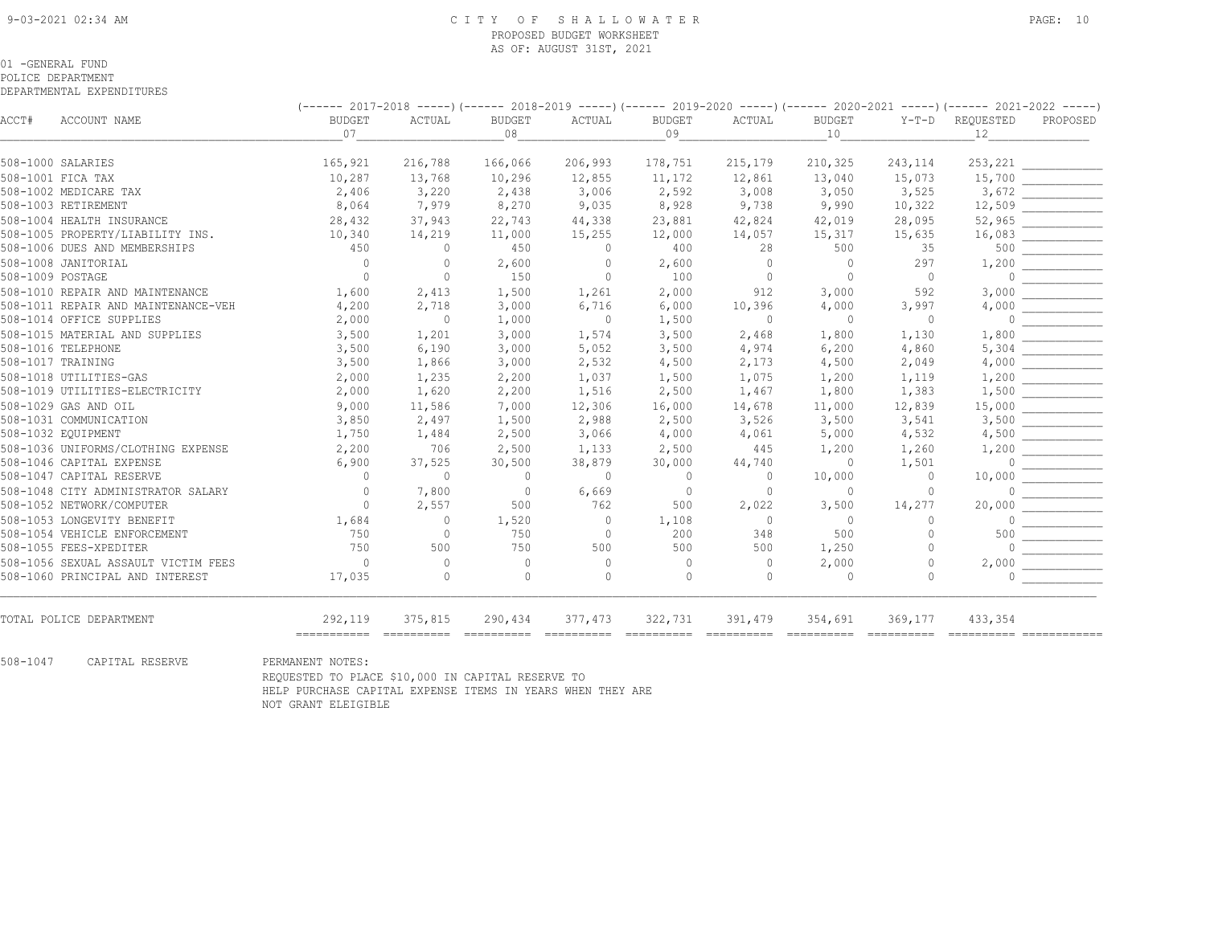#### 9-03-2021 02:34 AM C I T Y O F S H A L L O W A T E R PAGE: 10 PROPOSED BUDGET WORKSHEET AS OF: AUGUST 31ST, 2021

#### 01 -GENERAL FUND

POLICE DEPARTMENT DEPARTMENTAL EXPENDITURES

 (------ 2017-2018 -----)(------ 2018-2019 -----)(------ 2019-2020 -----)(------ 2020-2021 -----)(------ 2021-2022 -----) ACCT# ACCOUNT NAME BUDGET ACTUAL BUDGET ACTUAL BUDGET ACTUAL BUDGET Y-T-D REQUESTED PROPOSED  $07$  10  $08$  09  $10$  12 508-1000 SALARIES 165,921 216,788 166,066 206,993 178,751 215,179 210,325 243,114 253,221 \_\_\_\_\_\_\_\_\_\_\_\_ 508-1001 FICA TAX 10,287 13,768 10,296 12,855 11,172 12,861 13,040 15,073 15,700 \_\_\_\_\_\_\_\_\_\_\_\_ 508-1002 MEDICARE TAX 2,406 3,220 2,438 3,006 2,592 3,008 3,050 3,525 3,672 508-1003 RETIREMENT 8,064 7,979 8,270 9,035 8,928 9,738 9,990 10,322 12,509 508-1004 HEALTH INSURANCE 28,432 37,943 22,743 44,338 23,881 42,824 42,019 28,095 52,965 508-1005 PROPERTY/LIABILITY INS. 10,340 14,219 11,000 15,255 12,000 14,057 15,317 15,635 16,083 508-1006 DUES AND MEMBERSHIPS 450 0 450 0 400 28 500 35 500 \_\_\_\_\_\_\_\_\_\_\_\_ 508-1008 JANITORIAL 0 0 2,600 0 2,600 0 0 297 1,200 \_\_\_\_\_\_\_\_\_\_\_\_ 508-1009 POSTAGE 0 0 150 0 100 0 0 0 0 \_\_\_\_\_\_\_\_\_\_\_\_ 508-1010 REPAIR AND MAINTENANCE 1,600 2,413 1,500 1,261 2,000 912 3,000 592 3,000 508-1011 REPAIR AND MAINTENANCE-VEH 4,200 2,718 3,000 6,716 6,000 10,396 4,000 3,997 4,000 508-1014 OFFICE SUPPLIES 2,000 0 1,000 0 1,500 0 0 0 508-1015 MATERIAL AND SUPPLIES 3,500 1,201 3,000 1,574 3,500 2,468 1,800 1,130 1,800 508-1016 TELEPHONE 3,500 6,190 3,000 5,052 3,500 4,974 6,200 4,860 5,304 508-1017 TRAINING 3,500 1,866 3,000 2,532 4,500 2,173 4,500 2,049 4,000 \_\_\_\_\_\_\_\_\_\_\_\_ 508-1018 UTILITIES-GAS 2,000 1,235 2,200 1,037 1,500 1,075 1,200 1,119 1,200 \_\_\_\_\_\_\_\_\_\_\_\_ 508-1019 UTILITIES-ELECTRICITY 2,000 1,620 2,200 1,516 2,500 1,467 1,800 1,383 1,500 \_\_\_\_\_\_\_\_\_\_\_\_ 508-1029 GAS AND OIL 9,000 11,586 7,000 12,306 16,000 14,678 11,000 12,839 15,000 \_\_\_\_\_\_\_\_\_\_\_\_ 508-1031 COMMUNICATION 3,850 2,497 1,500 2,988 2,500 3,526 3,500 3,541 3,500 508-1032 EQUIPMENT 1,750 1,484 2,500 3,066 4,000 4,061 5,000 4,532 4,500 508-1029 GAS AND OLL<br>
508-1031 COMMUNICATION<br>
508-1032 EQUIPMENT<br>
508-1036 UNIFORMS/CLOTHING EXPENSE 2,200 706 2,500 1,133 2,500 445 1,200 1,260 1,200 1,200 1,200 508-1046 CAPITAL EXPENSE 6,900 37,525 30,500 38,879 30,000 44,740 0 1,501 0 \_\_\_\_\_\_\_\_\_\_\_\_ 508-1047 CAPITAL RESERVE 0 0 0 0 0 0 10,000 0 10,000 \_\_\_\_\_\_\_\_\_\_\_\_ 508-1048 CITY ADMINISTRATOR SALARY 0 7,800 0 6,669 0 0 0 0 0 508-1052 NETWORK/COMPUTER 0 2,557 500 762 500 2,022 3,500 14,277 20,000 508-1053 LONGEVITY BENEFIT 1,684 0 1,520 0 1,108 0 0 0 0 \_\_\_\_\_\_\_\_\_\_\_\_ 508-1054 VEHICLE ENFORCEMENT 750 0 750 0 200 348 500 0 500 \_\_\_\_\_\_\_\_\_\_\_\_ 508-1055 FEES-XPEDITER 750 500 750 500 500 500 1,250 0 0 \_\_\_\_\_\_\_\_\_\_\_\_ 508-1056 SEXUAL ASSAULT VICTIM FEES 0 0 0 0 0 2,000 0 2,000 508-1060 PRINCIPAL AND INTEREST 17,035 0 0 0 0 0 0 0 0 \_\_\_\_\_\_\_\_\_\_\_\_ TOTAL POLICE DEPARTMENT 292,119 375,815 290,434 377,473 322,731 391,479 354,691 369,177 433,354 =========== ========== ========== ========== ========== ========== ========== ========== ========== ============ 508-1047 CAPITAL RESERVE PERMANENT NOTES:

 REQUESTED TO PLACE \$10,000 IN CAPITAL RESERVE TO HELP PURCHASE CAPITAL EXPENSE ITEMS IN YEARS WHEN THEY ARE NOT GRANT ELEIGIBLE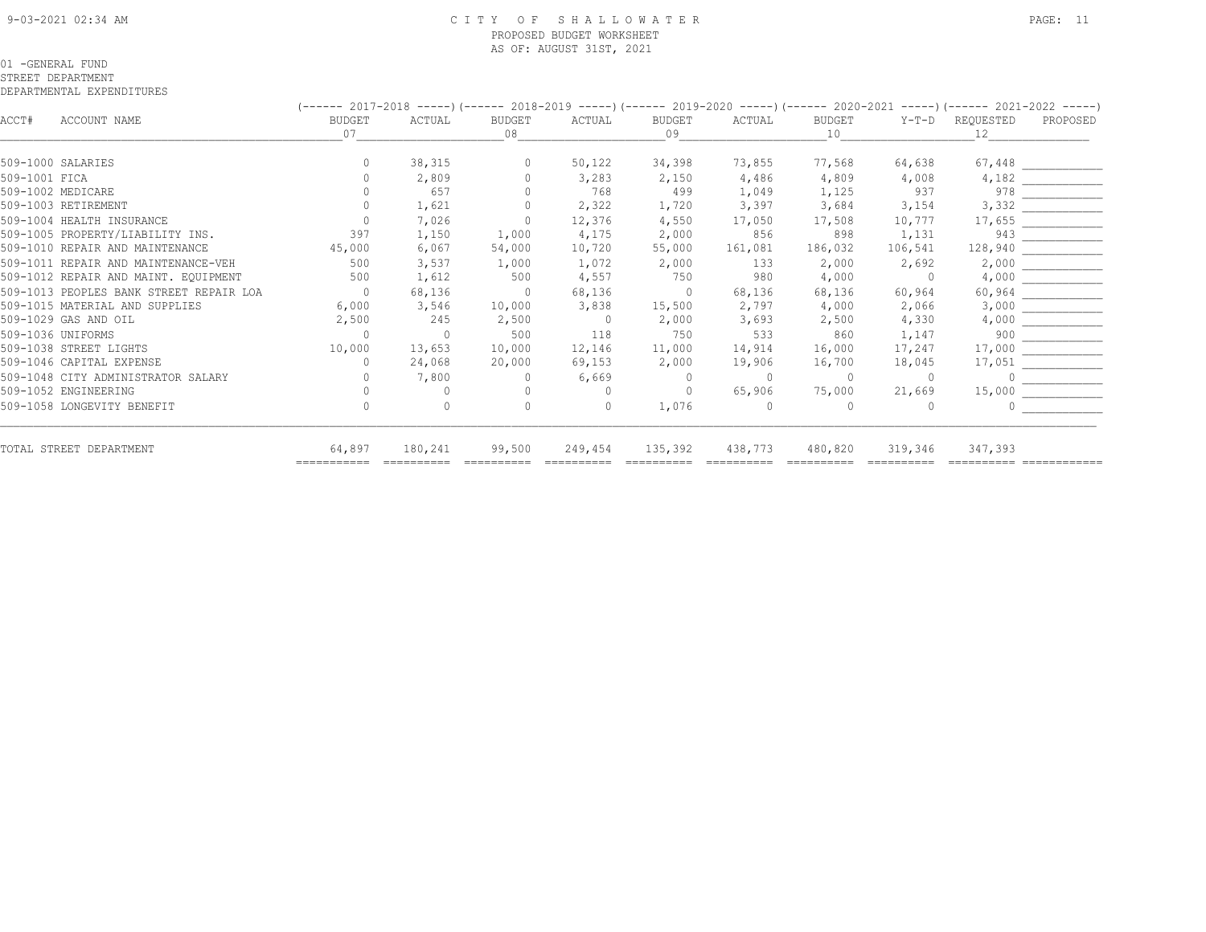#### 9-03-2021 02:34 AM C I T Y O F S H A L L O W A T E R PAGE: 11 PROPOSED BUDGET WORKSHEET AS OF: AUGUST 31ST, 2021

#### 01 -GENERAL FUND

#### STREET DEPARTMENT

|               |                                         | (------ 2017-2018 -----)(------ 2018-2019 -----)(------ 2019-2020 -----)(------ 2020-2021 -----)(------ 2021-2022 -----) |              |                     |                |                     |          |                     |          |                 |                         |  |  |
|---------------|-----------------------------------------|--------------------------------------------------------------------------------------------------------------------------|--------------|---------------------|----------------|---------------------|----------|---------------------|----------|-----------------|-------------------------|--|--|
| ACCT#         | ACCOUNT NAME                            | <b>BUDGET</b><br>07                                                                                                      | ACTUAL       | <b>BUDGET</b><br>08 | ACTUAL         | <b>BUDGET</b><br>09 | ACTUAL   | <b>BUDGET</b><br>10 | $Y-T-D$  | REQUESTED<br>12 | PROPOSED                |  |  |
|               |                                         |                                                                                                                          |              |                     |                |                     |          |                     |          |                 |                         |  |  |
|               | 509-1000 SALARIES                       |                                                                                                                          | 38,315       | $\Omega$            | 50,122         | 34,398              | 73,855   | 77,568              | 64,638   |                 | 67,448                  |  |  |
| 509-1001 FTCA |                                         |                                                                                                                          | 2,809        |                     | 3,283          | 2,150               | 4,486    | 4,809               | 4,008    | 4,182           |                         |  |  |
|               | 509-1002 MEDICARE                       |                                                                                                                          | 657          |                     | 768            | 499                 | 1,049    | 1,125               | 937      |                 |                         |  |  |
|               | 509-1003 RETIREMENT                     |                                                                                                                          | 1,621        |                     | 2,322          | 1,720               | 3,397    | 3,684               | 3,154    |                 | $4,182$<br>978<br>3,332 |  |  |
|               | 509-1004 HEALTH INSURANCE               |                                                                                                                          | 7,026        | $\Omega$            | 12,376         | 4,550               | 17,050   | 17,508              | 10,777   |                 |                         |  |  |
|               | 509-1005 PROPERTY/LIABILITY INS.        | 397                                                                                                                      | 1,150        | 1,000               | 4,175          | 2,000               | 856      | 898                 | 1,131    |                 |                         |  |  |
|               | 509-1010 REPAIR AND MAINTENANCE         | 45,000                                                                                                                   | 6,067        | 54,000              | 10,720         | 55,000              | 161,081  | 186,032             | 106,541  |                 | $\frac{17,655}{943}$    |  |  |
|               | 509-1011 REPAIR AND MAINTENANCE-VEH     | 500                                                                                                                      | 3,537        | 1,000               | 1,072          | 2,000               | 133      | 2,000               | 2,692    | 2,000           |                         |  |  |
|               | 509-1012 REPAIR AND MAINT. EQUIPMENT    | 500                                                                                                                      | 1,612        | 500                 | 4,557          | 750                 | 980      | 4,000               | $\Omega$ | 4,000           |                         |  |  |
|               | 509-1013 PEOPLES BANK STREET REPAIR LOA | $\overline{0}$                                                                                                           | 68,136       | $\bigcirc$          | 68,136         | $\overline{0}$      | 68,136   | 68,136              | 60,964   |                 |                         |  |  |
|               | 509-1015 MATERIAL AND SUPPLIES          | 6,000                                                                                                                    | 3,546        | 10,000              | 3,838          | 15,500              | 2,797    | 4,000               | 2,066    |                 |                         |  |  |
|               | 509-1029 GAS AND OIL                    | 2,500                                                                                                                    | 245          | 2,500               | $\overline{0}$ | 2,000               | 3,693    | 2,500               | 4,330    | 4,000           |                         |  |  |
|               | 509-1036 UNIFORMS                       | $\Omega$                                                                                                                 | $\mathbf{0}$ | 500                 | 118            | 750                 | 533      | 860                 | 1,147    | 900             | <u>.</u>                |  |  |
|               | 509-1038 STREET LIGHTS                  | 10,000                                                                                                                   | 13,653       | 10,000              | 12,146         | 11,000              | 14,914   | 16,000              | 17,247   |                 |                         |  |  |
|               | 509-1046 CAPITAL EXPENSE                | $\Omega$                                                                                                                 | 24,068       | 20,000              | 69,153         | 2,000               | 19,906   | 16,700              | 18,045   | 17,051          |                         |  |  |
|               | 509-1048 CITY ADMINISTRATOR SALARY      |                                                                                                                          | 7,800        |                     | 6,669          | $\circ$             | $\Omega$ | $\Omega$            | $\Omega$ |                 |                         |  |  |
|               | 509-1052 ENGINEERING                    |                                                                                                                          |              |                     | $\Omega$       | $\circ$             | 65,906   | 75,000              | 21,669   | 15,000          |                         |  |  |
|               | 509-1058 LONGEVITY BENEFIT              |                                                                                                                          |              |                     | $\bigcap$      | 1,076               | 0        |                     |          |                 |                         |  |  |
|               | TOTAL STREET DEPARTMENT                 | 64,897                                                                                                                   | 180,241      | 99,500              | 249,454        | 135,392             | 438,773  | 480,820             | 319,346  | 347,393         |                         |  |  |
|               |                                         |                                                                                                                          |              |                     |                |                     |          |                     |          |                 |                         |  |  |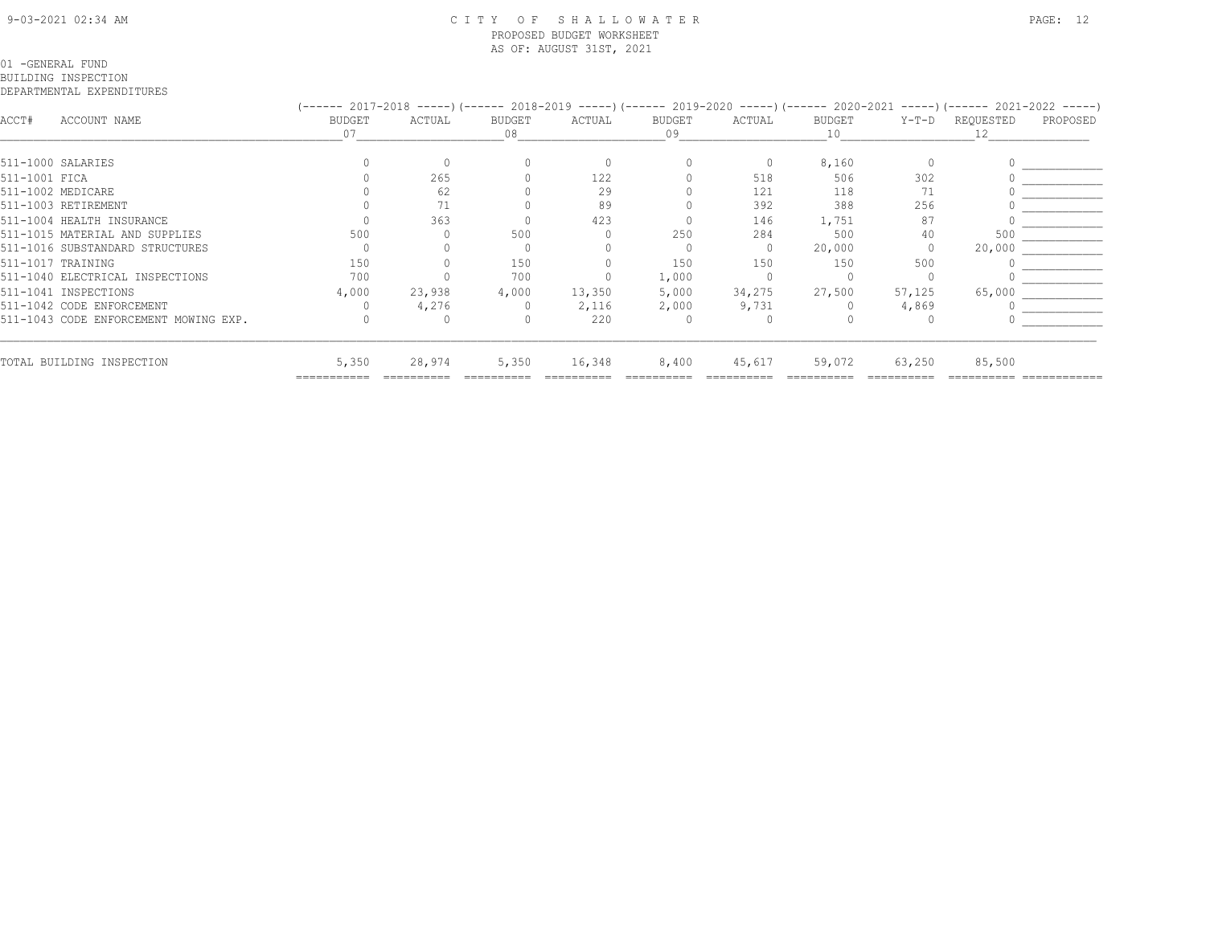#### 9-03-2021 02:34 AM C I T Y O F S H A L L O W A T E R PAGE: 12 PROPOSED BUDGET WORKSHEET AS OF: AUGUST 31ST, 2021

#### 01 -GENERAL FUND

BUILDING INSPECTION

|               |                                       | (------ 2017-2018 -----) (------ 2018-2019 -----) (------ 2019-2020 -----) (------ 2020-2021 -----) (------ 2021-2022 -----) |        |              |        |              |          |              |        |                 |          |
|---------------|---------------------------------------|------------------------------------------------------------------------------------------------------------------------------|--------|--------------|--------|--------------|----------|--------------|--------|-----------------|----------|
| ACCT#         | ACCOUNT NAME                          | BUDGET<br>07                                                                                                                 | ACTUAL | BUDGET<br>08 | ACTUAL | BUDGET<br>09 | ACTUAL   | BUDGET<br>10 | Y-T-D  | REQUESTED<br>12 | PROPOSED |
|               |                                       |                                                                                                                              |        |              |        |              |          |              |        |                 |          |
|               | 511-1000 SALARIES                     |                                                                                                                              |        |              |        |              | $\Omega$ | 8,160        |        |                 |          |
| 511-1001 FICA |                                       |                                                                                                                              | 265    |              | 122    |              | 518      | 506          | 302    |                 |          |
|               | 511-1002 MEDICARE                     |                                                                                                                              | 62     |              | 29     |              | 121      | 118          | 71     |                 |          |
|               | 511-1003 RETIREMENT                   |                                                                                                                              |        |              | 89     |              | 392      | 388          | 256    |                 |          |
|               | 511-1004 HEALTH INSURANCE             |                                                                                                                              | 363    |              | 423    |              | 146      | 1,751        | 87     |                 |          |
|               | 511-1015 MATERIAL AND SUPPLIES        | 500                                                                                                                          |        | 500          |        | 250          | 284      | 500          | 40     | 500             |          |
|               | 511-1016 SUBSTANDARD STRUCTURES       |                                                                                                                              |        |              |        |              | $\Omega$ | 20,000       |        | 20,000          |          |
|               | 511-1017 TRAINING                     | 150                                                                                                                          |        | 150          |        | 150          | 150      | 150          | 500    |                 |          |
|               | 511-1040 ELECTRICAL INSPECTIONS       | 700                                                                                                                          |        | 700          |        | 1,000        |          |              |        |                 |          |
|               | 511-1041 INSPECTIONS                  | 4,000                                                                                                                        | 23,938 | 4,000        | 13,350 | 5,000        | 34,275   | 27,500       | 57,125 | 65,000          |          |
|               | 511-1042 CODE ENFORCEMENT             |                                                                                                                              | 4,276  |              | 2,116  | 2,000        | 9,731    |              | 4,869  |                 |          |
|               | 511-1043 CODE ENFORCEMENT MOWING EXP. |                                                                                                                              |        |              | 220    |              |          |              |        |                 |          |
|               | TOTAL BUILDING INSPECTION             | 5,350                                                                                                                        | 28,974 | 5,350        | 16,348 | 8,400        | 45,617   | 59,072       | 63,250 | 85,500          |          |
|               |                                       | ===========                                                                                                                  |        |              |        |              |          |              |        |                 |          |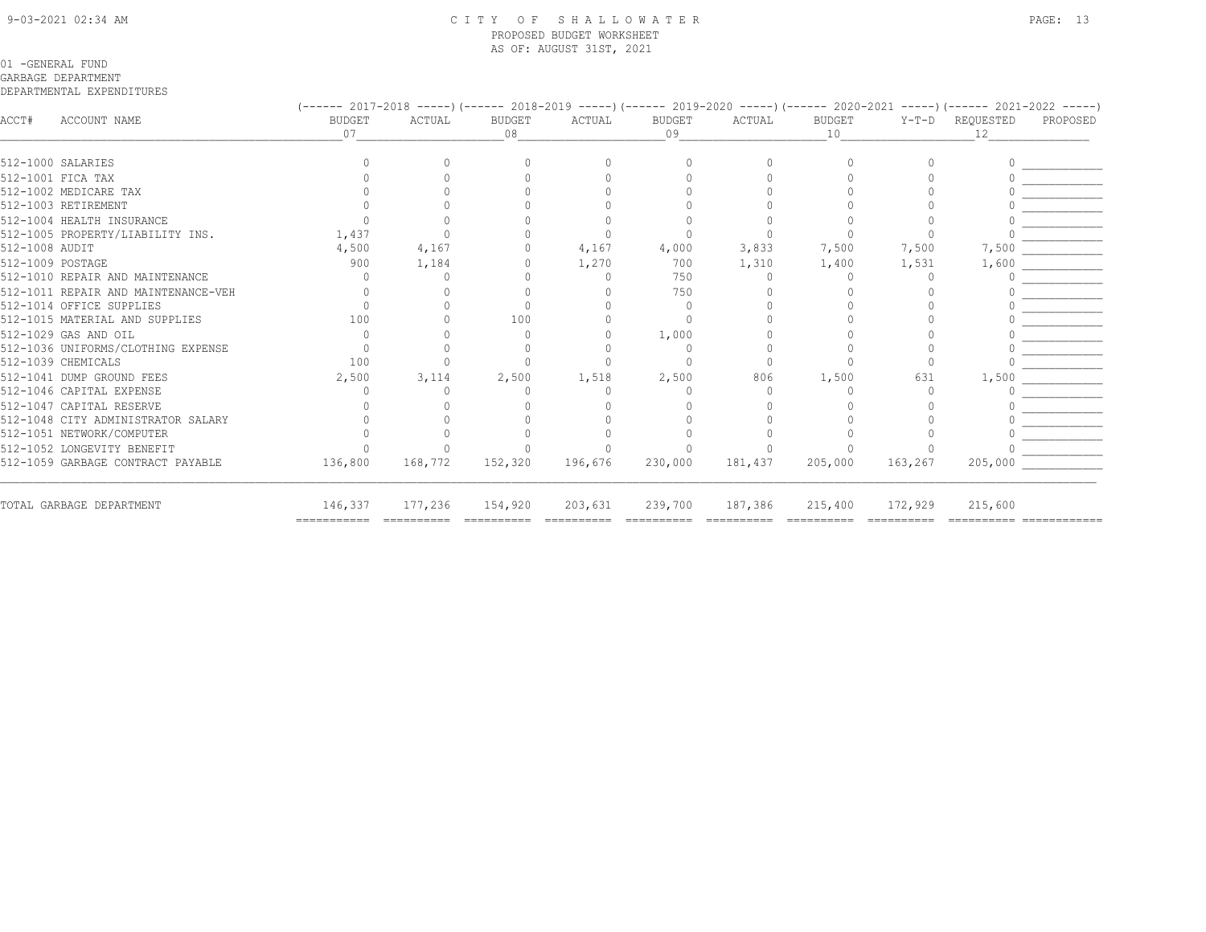#### 9-03-2021 02:34 AM C I T Y O F S H A L L O W A T E R PAGE: 13 PROPOSED BUDGET WORKSHEET AS OF: AUGUST 31ST, 2021

### 01 -GENERAL FUND

#### GARBAGE DEPARTMENT

|                  |                                     | (------ 2017-2018 -----)(------ 2018-2019 -----)(------ 2019-2020 -----)(------ 2020-2021 -----)(------ 2021-2022 -----)                                                                                                                                                                                                                                                                                                                                                                     |         |                        |                        |              |         |                       |                       |                                     |          |
|------------------|-------------------------------------|----------------------------------------------------------------------------------------------------------------------------------------------------------------------------------------------------------------------------------------------------------------------------------------------------------------------------------------------------------------------------------------------------------------------------------------------------------------------------------------------|---------|------------------------|------------------------|--------------|---------|-----------------------|-----------------------|-------------------------------------|----------|
| ACCT#            | ACCOUNT NAME                        | <b>BUDGET</b><br>07                                                                                                                                                                                                                                                                                                                                                                                                                                                                          | ACTUAL  | <b>BUDGET</b><br>08    | ACTUAL                 | BUDGET<br>09 | ACTUAL  | BUDGET<br>10          | $Y-T-D$               | REQUESTED<br>12.                    | PROPOSED |
|                  | 512-1000 SALARIES                   |                                                                                                                                                                                                                                                                                                                                                                                                                                                                                              |         |                        |                        |              |         |                       |                       |                                     |          |
|                  | 512-1001 FICA TAX                   |                                                                                                                                                                                                                                                                                                                                                                                                                                                                                              |         |                        |                        |              |         |                       |                       |                                     |          |
|                  | 512-1002 MEDICARE TAX               |                                                                                                                                                                                                                                                                                                                                                                                                                                                                                              |         |                        |                        |              |         |                       |                       |                                     |          |
|                  | 512-1003 RETIREMENT                 |                                                                                                                                                                                                                                                                                                                                                                                                                                                                                              |         |                        |                        |              |         |                       |                       |                                     |          |
|                  | 512-1004 HEALTH INSURANCE           |                                                                                                                                                                                                                                                                                                                                                                                                                                                                                              |         |                        |                        |              |         |                       |                       |                                     |          |
|                  | 512-1005 PROPERTY/LIABILITY INS.    | 1,437                                                                                                                                                                                                                                                                                                                                                                                                                                                                                        |         |                        |                        |              |         |                       |                       |                                     |          |
| 512-1008 AUDIT   |                                     | 4,500                                                                                                                                                                                                                                                                                                                                                                                                                                                                                        | 4,167   |                        | 4,167                  | 4,000        | 3,833   | 7,500                 | 7,500                 | 7,500                               |          |
| 512-1009 POSTAGE |                                     | 900                                                                                                                                                                                                                                                                                                                                                                                                                                                                                          | 1,184   |                        | 1,270                  | 700          | 1,310   | 1,400                 | 1,531                 | 1,600                               |          |
|                  | 512-1010 REPAIR AND MAINTENANCE     |                                                                                                                                                                                                                                                                                                                                                                                                                                                                                              |         |                        |                        | 750          |         |                       |                       |                                     |          |
|                  | 512-1011 REPAIR AND MAINTENANCE-VEH |                                                                                                                                                                                                                                                                                                                                                                                                                                                                                              |         |                        |                        | 750          |         |                       |                       |                                     |          |
|                  | 512-1014 OFFICE SUPPLIES            |                                                                                                                                                                                                                                                                                                                                                                                                                                                                                              |         |                        |                        |              |         |                       |                       |                                     |          |
|                  | 512-1015 MATERIAL AND SUPPLIES      | 100                                                                                                                                                                                                                                                                                                                                                                                                                                                                                          |         | 100                    |                        |              |         |                       |                       |                                     |          |
|                  | 512-1029 GAS AND OIL                |                                                                                                                                                                                                                                                                                                                                                                                                                                                                                              |         |                        |                        | 1,000        |         |                       |                       |                                     |          |
|                  | 512-1036 UNIFORMS/CLOTHING EXPENSE  |                                                                                                                                                                                                                                                                                                                                                                                                                                                                                              |         |                        |                        |              |         |                       |                       |                                     |          |
|                  | 512-1039 CHEMICALS                  | 100                                                                                                                                                                                                                                                                                                                                                                                                                                                                                          |         |                        |                        |              |         |                       |                       |                                     |          |
|                  | 512-1041 DUMP GROUND FEES           | 2,500                                                                                                                                                                                                                                                                                                                                                                                                                                                                                        | 3,114   | 2,500                  | 1,518                  | 2,500        | 806     | 1,500                 | 631                   | 1,500                               |          |
|                  | 512-1046 CAPITAL EXPENSE            |                                                                                                                                                                                                                                                                                                                                                                                                                                                                                              |         |                        |                        |              |         |                       |                       |                                     |          |
|                  | 512-1047 CAPITAL RESERVE            |                                                                                                                                                                                                                                                                                                                                                                                                                                                                                              |         |                        |                        |              |         |                       |                       |                                     |          |
|                  | 512-1048 CITY ADMINISTRATOR SALARY  |                                                                                                                                                                                                                                                                                                                                                                                                                                                                                              |         |                        |                        |              |         |                       |                       |                                     |          |
|                  | 512-1051 NETWORK/COMPUTER           |                                                                                                                                                                                                                                                                                                                                                                                                                                                                                              |         |                        |                        |              |         |                       |                       |                                     |          |
|                  | 512-1052 LONGEVITY BENEFIT          |                                                                                                                                                                                                                                                                                                                                                                                                                                                                                              |         |                        |                        |              |         |                       |                       |                                     |          |
|                  | 512-1059 GARBAGE CONTRACT PAYABLE   | 136,800                                                                                                                                                                                                                                                                                                                                                                                                                                                                                      | 168,772 | 152,320                | 196,676                | 230,000      | 181,437 | 205,000               | 163,267               | 205,000                             |          |
|                  | TOTAL GARBAGE DEPARTMENT            | 146,337<br>$\begin{tabular}{lllllllllllllll} \multicolumn{2}{l}{} & \multicolumn{2}{l}{} & \multicolumn{2}{l}{} & \multicolumn{2}{l}{} & \multicolumn{2}{l}{} & \multicolumn{2}{l}{} & \multicolumn{2}{l}{} & \multicolumn{2}{l}{} & \multicolumn{2}{l}{} & \multicolumn{2}{l}{} & \multicolumn{2}{l}{} & \multicolumn{2}{l}{} & \multicolumn{2}{l}{} & \multicolumn{2}{l}{} & \multicolumn{2}{l}{} & \multicolumn{2}{l}{} & \multicolumn{2}{l}{} & \multicolumn{2}{l}{} & \multicolumn{2}{$ | 177,236 | 154,920<br>----------- | 203,631<br>----------- | 239,700      | 187,386 | 215,400<br>========== | 172,929<br>========== | 215,600<br>----------- ------------ |          |
|                  |                                     |                                                                                                                                                                                                                                                                                                                                                                                                                                                                                              |         |                        |                        |              |         |                       |                       |                                     |          |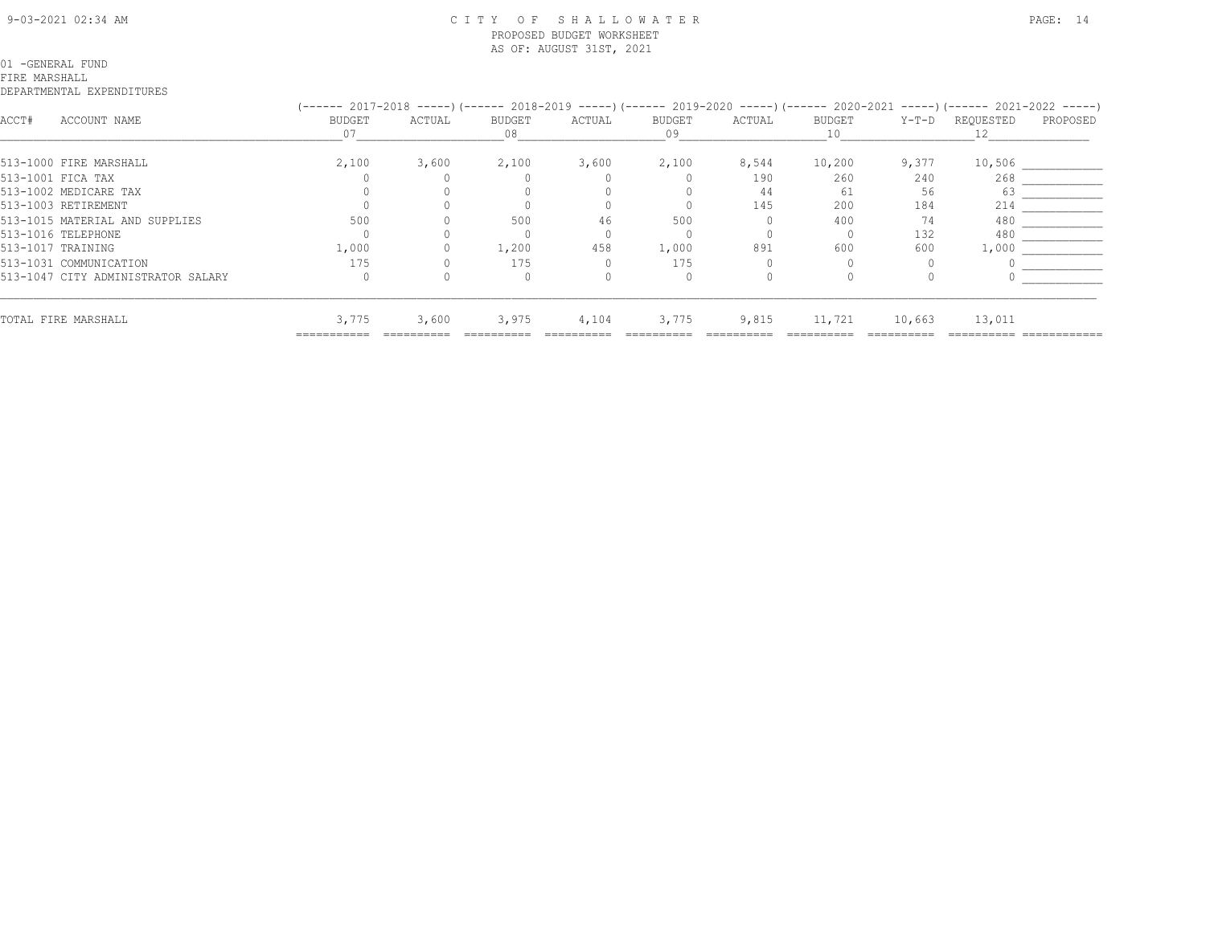#### 9-03-2021 02:34 AM C I T Y O F S H A L L O W A T E R PAGE: 14 PROPOSED BUDGET WORKSHEET AS OF: AUGUST 31ST, 2021

#### 01 -GENERAL FUND

#### FIRE MARSHALL

|                                    |        | (------ 2017-2018 -----) (------ 2018-2019 -----) (------ 2019-2020 -----) (------ 2020-2021 -----) (------ 2021-2022 -----) |        |        |        |        |        |        |           |          |  |  |
|------------------------------------|--------|------------------------------------------------------------------------------------------------------------------------------|--------|--------|--------|--------|--------|--------|-----------|----------|--|--|
| ACCOUNT NAME<br>ACCT#              | BUDGET | ACTUAL                                                                                                                       | BUDGET | ACTUAL | BUDGET | ACTUAL | BUDGET | Y-T-D  | REQUESTED | PROPOSED |  |  |
|                                    |        |                                                                                                                              | 08     |        | 09     |        |        |        |           |          |  |  |
| 513-1000 FIRE MARSHALL             | 2,100  | 3,600                                                                                                                        | 2,100  | 3,600  | 2,100  | 8,544  | 10,200 | 9,377  | 10,506    |          |  |  |
| 513-1001 FICA TAX                  |        |                                                                                                                              |        |        |        | 190    | 260    | 240    | 268       |          |  |  |
| 513-1002 MEDICARE TAX              |        |                                                                                                                              |        |        |        | 44     | 61     | 56     | 63        |          |  |  |
| 513-1003 RETIREMENT                |        |                                                                                                                              |        |        |        | 145    | 200    | 184    | 214       |          |  |  |
| 513-1015 MATERIAL AND SUPPLIES     | 500    |                                                                                                                              | 500    |        | 500    |        | 400    | 74     | 480       |          |  |  |
| 513-1016 TELEPHONE                 |        |                                                                                                                              |        |        |        |        |        | 132    | 480       |          |  |  |
| 513-1017 TRAINING                  | 1,000  |                                                                                                                              | 1,200  | 458    | 1,000  | 891    | 600    | 600    | 1,000     |          |  |  |
| 513-1031 COMMUNICATION             | 175    |                                                                                                                              | 175    |        | 175    |        |        |        |           |          |  |  |
| 513-1047 CITY ADMINISTRATOR SALARY |        |                                                                                                                              |        |        |        |        |        |        |           |          |  |  |
| TOTAL FIRE MARSHALL                | 3,775  | 3,600                                                                                                                        | 3,975  | 4,104  | 3,775  | 9,815  | 11,721 | 10,663 | 13,011    |          |  |  |
|                                    |        |                                                                                                                              |        |        |        |        |        |        |           |          |  |  |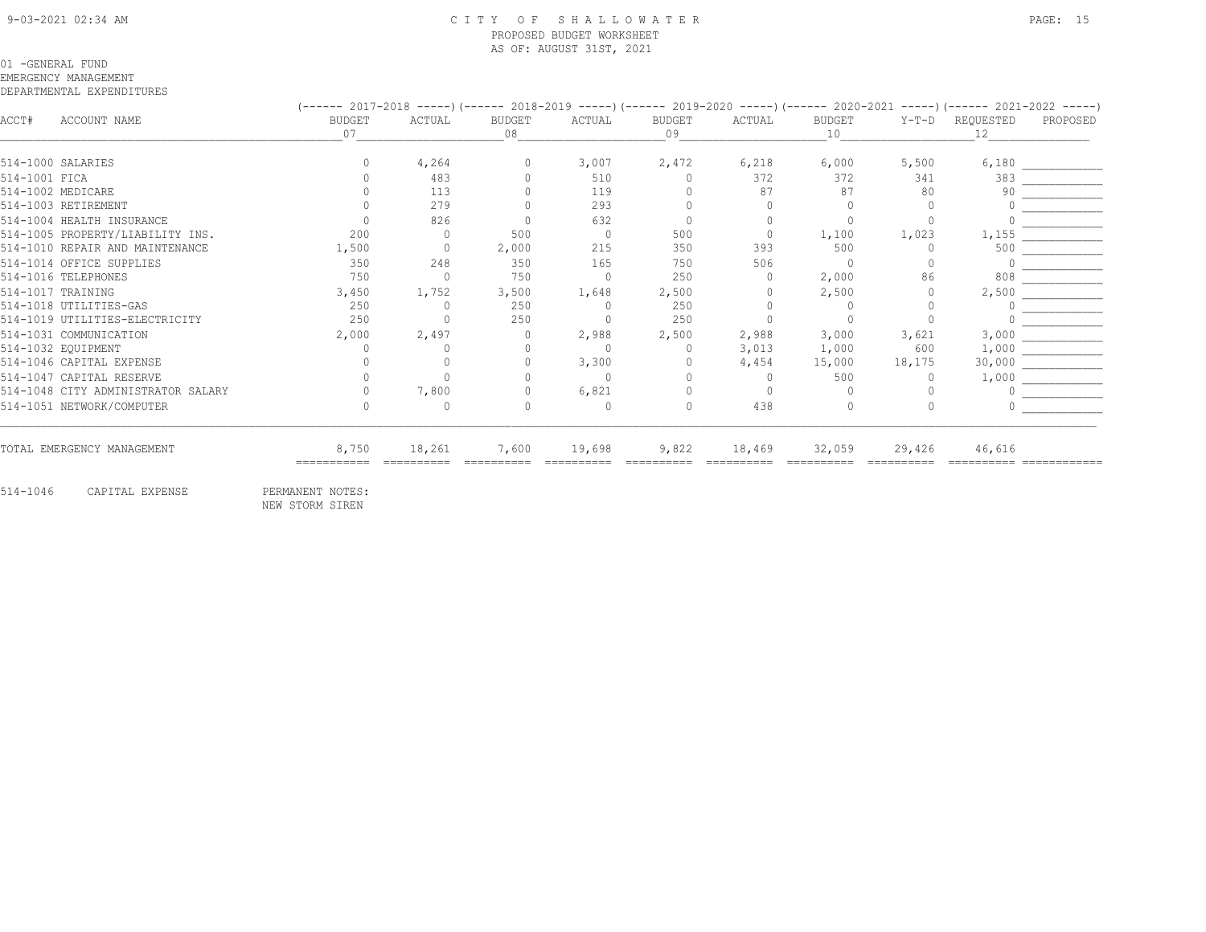#### 9-03-2021 02:34 AM C I T Y O F S H A L L O W A T E R PAGE: 15 PROPOSED BUDGET WORKSHEET AS OF: AUGUST 31ST, 2021

#### 01 -GENERAL FUND

EMERGENCY MANAGEMENT

#### DEPARTMENTAL EXPENDITURES

|               |                                    |              |          |                     |        |                     |           | (------ 2017-2018 -----)(------ 2018-2019 -----)(------ 2019-2020 -----)(------ 2020-2021 -----)(------ 2021-2022 -----) |         |                  |          |
|---------------|------------------------------------|--------------|----------|---------------------|--------|---------------------|-----------|--------------------------------------------------------------------------------------------------------------------------|---------|------------------|----------|
| ACCT#         | ACCOUNT NAME                       | BUDGET<br>07 | ACTUAL   | <b>BUDGET</b><br>08 | ACTUAL | <b>BUDGET</b><br>09 | ACTUAL    | <b>BUDGET</b><br>10                                                                                                      | $Y-T-D$ | REQUESTED<br>12. | PROPOSED |
|               |                                    |              |          |                     |        |                     |           |                                                                                                                          |         |                  |          |
|               | 514-1000 SALARIES                  |              | 4,264    |                     | 3,007  | 2,472               | 6,218     | 6,000                                                                                                                    | 5,500   | 6,180            |          |
| 514-1001 FICA |                                    |              | 483      |                     | 510    | $\bigcap$           | 372       | 372                                                                                                                      | 341     | 383              |          |
|               | 514-1002 MEDICARE                  |              | 113      |                     | 119    |                     | 87        | 87                                                                                                                       | 80      | 90               |          |
|               | 514-1003 RETIREMENT                |              | 279      |                     | 293    |                     |           |                                                                                                                          |         |                  |          |
|               | 514-1004 HEALTH INSURANCE          |              | 826      |                     | 632    | $\Omega$            |           |                                                                                                                          |         |                  |          |
|               | 514-1005 PROPERTY/LIABILITY INS.   | 200          | $\Omega$ | 500                 |        | 500                 |           | 1,100                                                                                                                    | 1,023   | 1,155            |          |
|               | 514-1010 REPAIR AND MAINTENANCE    | 1,500        | $\Omega$ | 2,000               | 215    | 350                 | 393       | 500                                                                                                                      |         | 500              |          |
|               | 514-1014 OFFICE SUPPLIES           | 350          | 248      | 350                 | 165    | 750                 | 506       | - 0                                                                                                                      |         |                  |          |
|               | 514-1016 TELEPHONES                | 750          | $\Omega$ | 750                 |        | 250                 |           | 2,000                                                                                                                    | 86      | 808              |          |
|               | 514-1017 TRAINING                  | 3,450        | 1,752    | 3,500               | 1,648  | 2,500               |           | 2,500                                                                                                                    |         | 2,500            |          |
|               | 514-1018 UTILITIES-GAS             | 250          | $\Omega$ | 250                 |        | 250                 |           |                                                                                                                          |         |                  |          |
|               | 514-1019 UTILITIES-ELECTRICITY     | 250          |          | 250                 |        | 250                 |           |                                                                                                                          |         |                  |          |
|               | 514-1031 COMMUNICATION             | 2,000        | 2,497    |                     | 2,988  | 2,500               | 2,988     | 3,000                                                                                                                    | 3,621   | 3,000            |          |
|               | 514-1032 EOUIPMENT                 |              |          |                     |        | $\Omega$            | 3,013     | 1,000                                                                                                                    | 600     | 1,000            |          |
|               | 514-1046 CAPITAL EXPENSE           |              |          |                     | 3,300  |                     | 4,454     | 15,000                                                                                                                   | 18,175  | 30,000           |          |
|               | 514-1047 CAPITAL RESERVE           |              |          |                     |        |                     | $\bigcap$ | 500                                                                                                                      |         | 1,000            |          |
|               | 514-1048 CITY ADMINISTRATOR SALARY |              | 7,800    |                     | 6,821  |                     |           |                                                                                                                          |         |                  |          |
|               | 514-1051 NETWORK/COMPUTER          |              | $\Omega$ |                     |        | $\Omega$            | 438       |                                                                                                                          |         |                  |          |
|               | TOTAL EMERGENCY MANAGEMENT         | 8,750        | 18,261   | 7,600               | 19,698 | 9,822               | 18,469    | 32,059                                                                                                                   | 29,426  | 46,616           |          |

514-1046 CAPITAL EXPENSE PERMANENT NOTES:

NEW STORM SIREN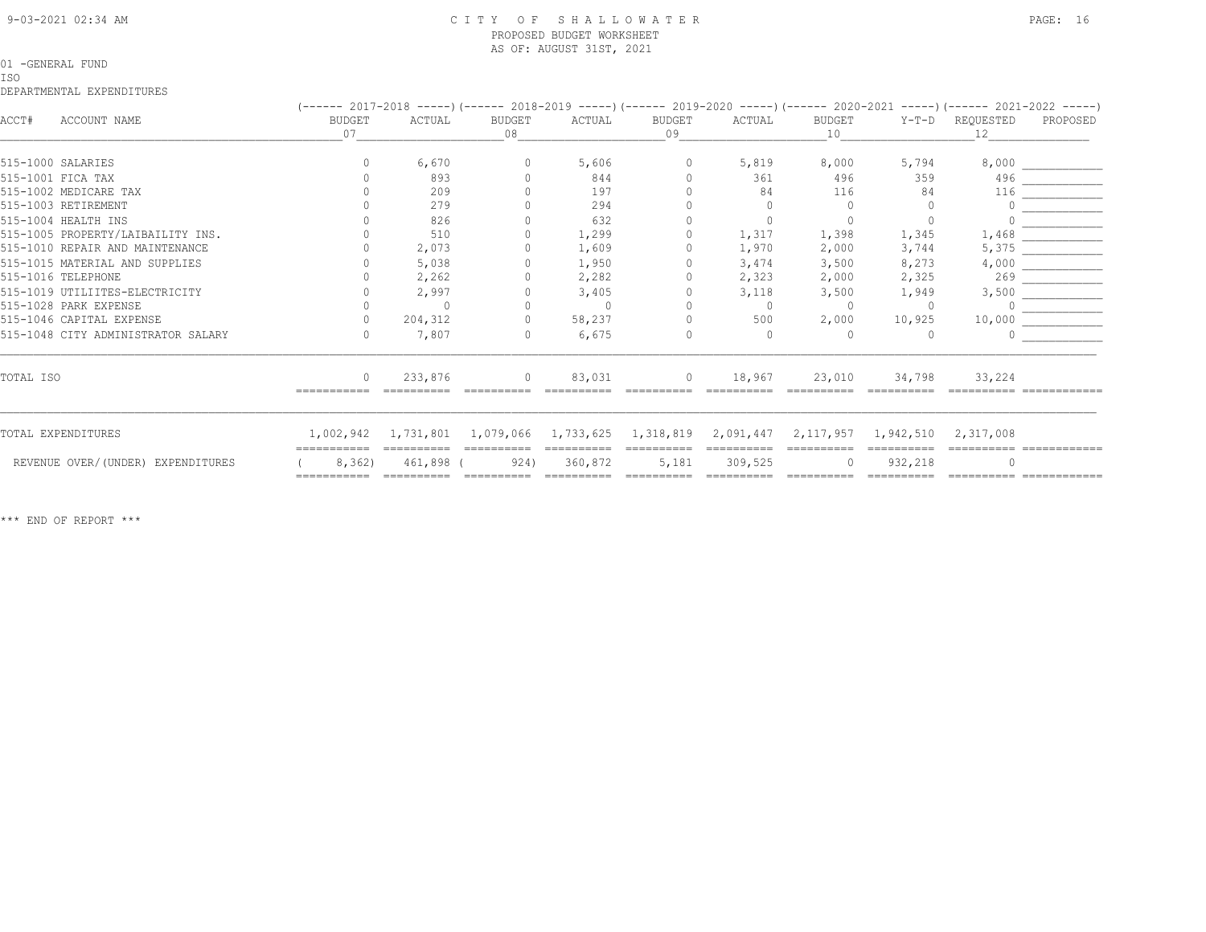#### 9-03-2021 02:34 AM C I T Y O F S H A L L O W A T E R PAGE: 16 PROPOSED BUDGET WORKSHEET AS OF: AUGUST 31ST, 2021

#### 01 -GENERAL FUND

#### ISO

DEPARTMENTAL EXPENDITURES

|           |                                    |                       |                     |                     |                               |                     |                       |              |                       | (------ 2017-2018 -----)(------ 2018-2019 -----)(------ 2019-2020 -----)(------ 2020-2021 -----)(------ 2021-2022 -----) |          |
|-----------|------------------------------------|-----------------------|---------------------|---------------------|-------------------------------|---------------------|-----------------------|--------------|-----------------------|--------------------------------------------------------------------------------------------------------------------------|----------|
| ACCT#     | ACCOUNT NAME                       | <b>BUDGET</b><br>07   | ACTUAL              | <b>BUDGET</b><br>08 | ACTUAL                        | <b>BUDGET</b><br>09 | ACTUAL                | BUDGET<br>10 |                       | Y-T-D REQUESTED<br>12                                                                                                    | PROPOSED |
|           | 515-1000 SALARIES                  |                       | 6,670               |                     | 5,606                         | $\Omega$            | 5,819                 | 8,000        | 5,794                 | 8,000                                                                                                                    |          |
|           | 515-1001 FICA TAX                  |                       | 893                 |                     | 844                           |                     | 361                   | 496          | 359                   | 496                                                                                                                      |          |
|           | 515-1002 MEDICARE TAX              |                       | 209                 |                     | 197                           |                     | 84                    | 116          | 84                    | 116                                                                                                                      |          |
|           | 515-1003 RETIREMENT                |                       | 279                 |                     | 294                           |                     |                       |              |                       |                                                                                                                          |          |
|           | 515-1004 HEALTH INS                |                       | 826                 |                     | 632                           |                     |                       |              |                       |                                                                                                                          |          |
|           | 515-1005 PROPERTY/LAIBAILITY INS.  |                       | 510                 |                     | 1,299                         |                     | 1,317                 | 1,398        | 1,345                 | 1,468                                                                                                                    |          |
|           | 515-1010 REPAIR AND MAINTENANCE    |                       | 2,073               |                     | 1,609                         |                     | 1,970                 | 2,000        | 3,744                 | 5,375                                                                                                                    |          |
|           | 515-1015 MATERIAL AND SUPPLIES     |                       | 5,038               |                     | 1,950                         |                     | 3,474                 | 3,500        | 8,273                 | 4,000                                                                                                                    |          |
|           | 515-1016 TELEPHONE                 |                       | 2,262               |                     | 2,282                         |                     | 2,323                 | 2,000        | 2,325                 | 269                                                                                                                      |          |
|           | 515-1019 UTILIITES-ELECTRICITY     |                       | 2,997               |                     | 3,405                         |                     | 3,118                 | 3,500        | 1,949                 | 3,500                                                                                                                    |          |
|           | 515-1028 PARK EXPENSE              |                       |                     |                     | $\overline{0}$                |                     | $\circ$               | - 0          | $\Omega$              |                                                                                                                          |          |
|           | 515-1046 CAPITAL EXPENSE           |                       | 204,312             |                     | 58,237                        |                     | 500                   | 2,000        | 10,925                | 10,000                                                                                                                   |          |
|           | 515-1048 CITY ADMINISTRATOR SALARY |                       | 7,807               |                     | 6,675                         | 0                   | $\Omega$              |              |                       |                                                                                                                          |          |
| TOTAL ISO |                                    | $\Omega$              | 233,876             |                     | 83,031                        | $\circ$             | 18,967                | 23,010       | 34,798                | 33,224                                                                                                                   |          |
|           |                                    |                       |                     |                     |                               |                     |                       |              |                       |                                                                                                                          |          |
|           | TOTAL EXPENDITURES                 |                       | 1,002,942 1,731,801 |                     | 1,079,066 1,733,625 1,318,819 |                     | 2,091,447             | 2, 117, 957  | 1,942,510             | 2,317,008                                                                                                                |          |
|           | REVENUE OVER/(UNDER) EXPENDITURES  | 8,362)<br>----------- | 461,898 (           | 924)                | ==========<br>360,872         | 5,181               | 309,525<br>========== | essessesse   | 932,218<br>essessesse |                                                                                                                          |          |
|           |                                    |                       |                     |                     |                               |                     |                       |              |                       |                                                                                                                          |          |

\*\*\* END OF REPORT \*\*\*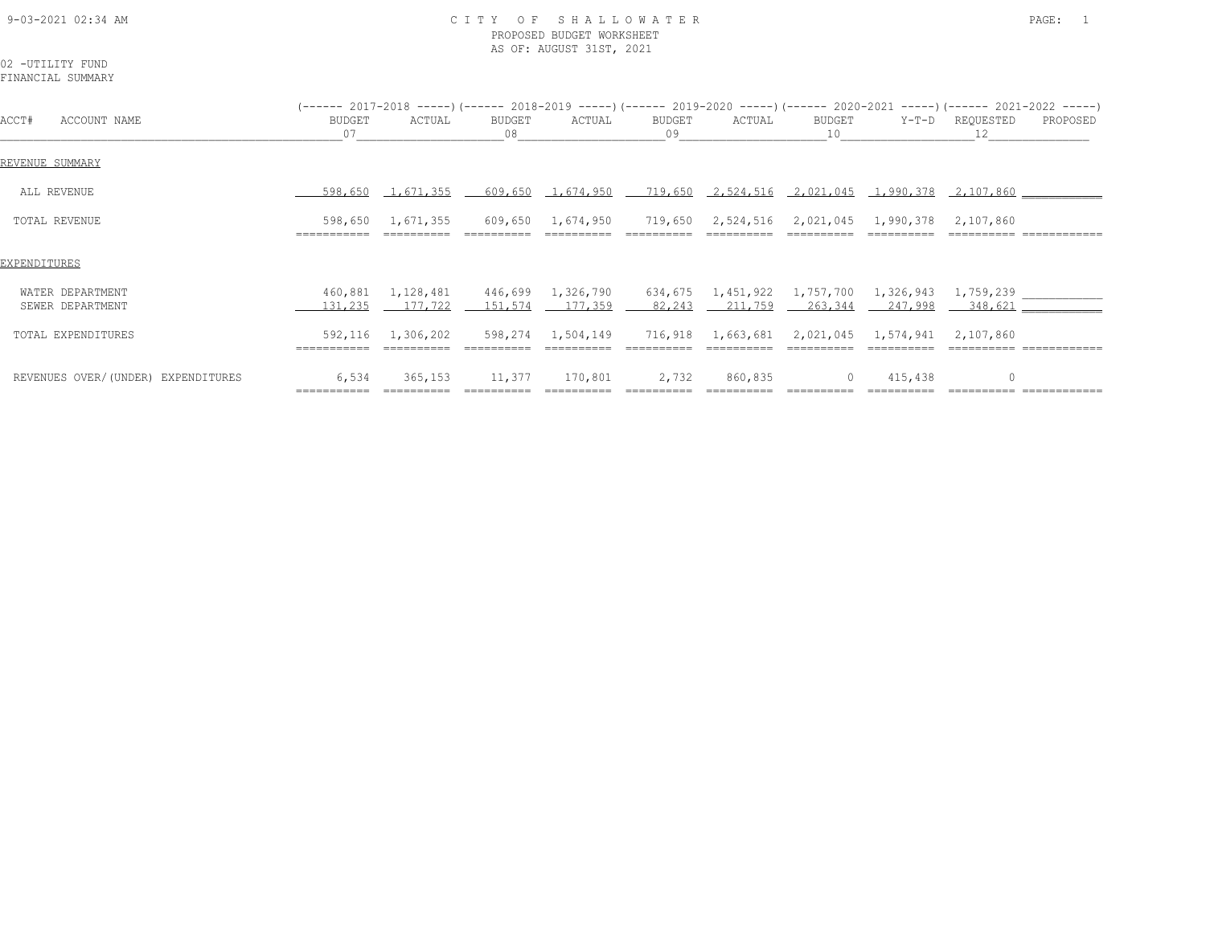#### 9-03-2021 02:34 AM C I T Y O F S H A L L O W A T E R PAGE: 1 PROPOSED BUDGET WORKSHEET AS OF: AUGUST 31ST, 2021

# 02 -UTILITY FUND

|                                      |                        |                      |              |                                                                                                                                 |              |         |              |         | $(---- 2017-2018 --- -)$ $(---- 2018-2019 --- -)$ $(---- 2019-2020 --- -)$ $(---- 2020-2021 --- -)$ $(---- 2021-2022 --- -)$ |          |
|--------------------------------------|------------------------|----------------------|--------------|---------------------------------------------------------------------------------------------------------------------------------|--------------|---------|--------------|---------|------------------------------------------------------------------------------------------------------------------------------|----------|
| ACCOUNT NAME<br>ACCT#                | BUDGET<br>07           | ACTUAL               | BUDGET<br>08 | ACTUAL                                                                                                                          | BUDGET<br>09 | ACTUAL  | BUDGET<br>10 |         | Y-T-D REQUESTED<br>12                                                                                                        | PROPOSED |
| REVENUE SUMMARY                      |                        |                      |              |                                                                                                                                 |              |         |              |         |                                                                                                                              |          |
| ALL REVENUE                          | 598,650                |                      |              | $\underline{1,671,355}$ 609,650 1,674,950 719,650 2,524,516 2,021,045 1,990,378 2,107,860                                       |              |         |              |         |                                                                                                                              |          |
| TOTAL REVENUE                        | 598,650<br>=========== | 1,671,355            |              | 609,650  1,674,950  719,650  2,524,516  2,021,045  1,990,378                                                                    |              |         |              |         | 2,107,860                                                                                                                    |          |
| EXPENDITURES                         |                        |                      |              |                                                                                                                                 |              |         |              |         |                                                                                                                              |          |
| WATER DEPARTMENT<br>SEWER DEPARTMENT | 460,881<br>131,235     | 1,128,481<br>177,722 | 151,574      | $446,699$ 1,326,790 634,675 1,451,922 1,757,700 1,326,943 1,759,239<br>$\frac{177.359}{261.359}$ 82.243 211.759 263.344 247.998 |              |         |              |         | $-348,621$ $-$                                                                                                               |          |
| TOTAL EXPENDITURES                   | 592,116                | 1,306,202            |              | 598,274  1,504,149  716,918  1,663,681  2,021,045  1,574,941                                                                    |              |         |              |         | 2,107,860                                                                                                                    |          |
| REVENUES OVER/(UNDER) EXPENDITURES   | 6,534                  | 365,153              | 11,377       | 170,801                                                                                                                         | 2,732        | 860,835 | $\circ$      | 415,438 |                                                                                                                              |          |

=========== ========== ========== ========== ========== ========== ========== ========== ========== ============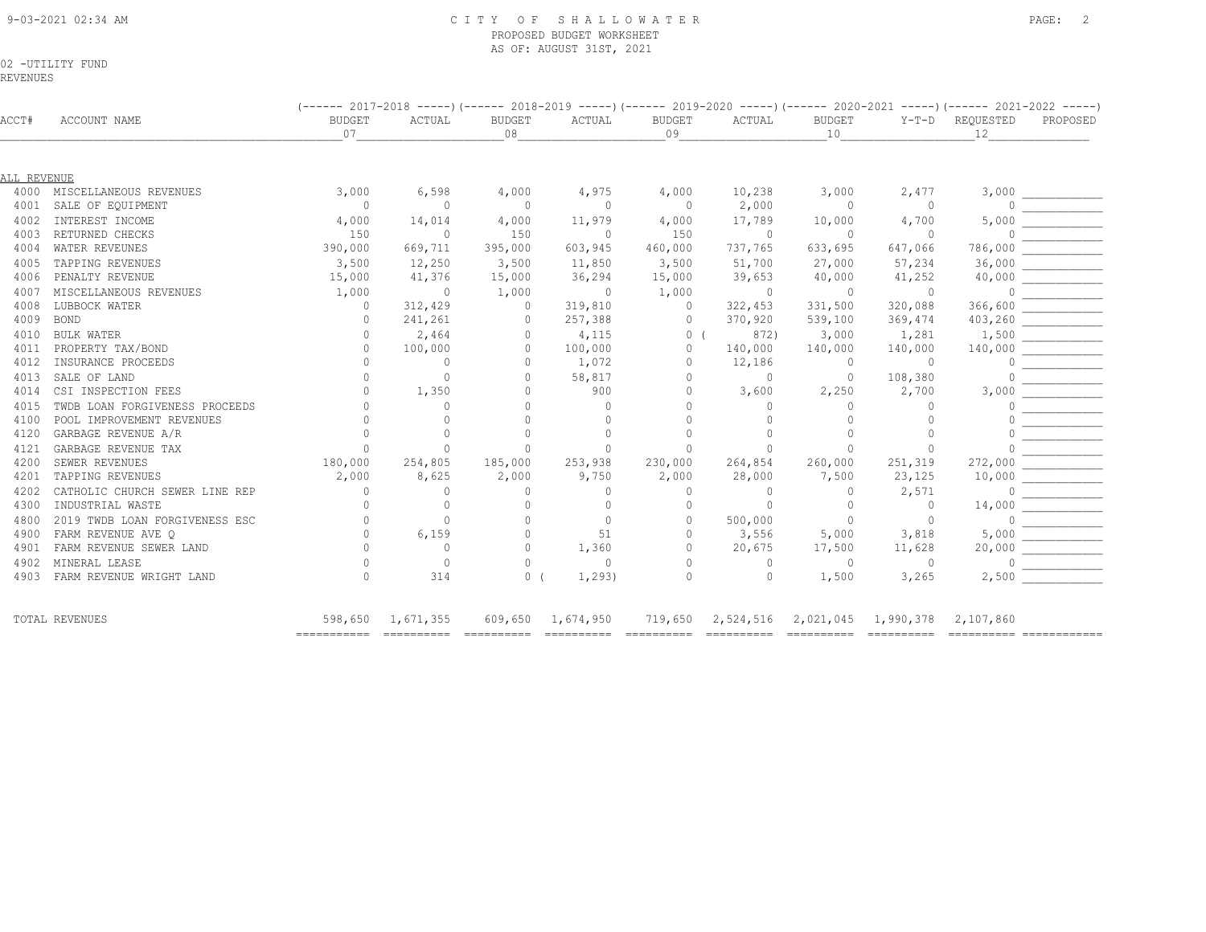#### 9-03-2021 02:34 AM C I T Y O F S H A L L O W A T E R PAGE: 2 PROPOSED BUDGET WORKSHEET AS OF: AUGUST 31ST, 2021

02 -UTILITY FUND

REVENUES

| ACCT#       | ACCOUNT NAME                   | <b>BUDGET</b><br>07 | ACTUAL         | <b>BUDGET</b><br>08 | ACTUAL         | <b>BUDGET</b><br>09 | ACTUAL         | <b>BUDGET</b><br>10                     | $Y-T-D$                  | REQUESTED<br>12 | PROPOSED                                                                                                                                                                                                                                                                                                                                            |
|-------------|--------------------------------|---------------------|----------------|---------------------|----------------|---------------------|----------------|-----------------------------------------|--------------------------|-----------------|-----------------------------------------------------------------------------------------------------------------------------------------------------------------------------------------------------------------------------------------------------------------------------------------------------------------------------------------------------|
|             |                                |                     |                |                     |                |                     |                |                                         |                          |                 |                                                                                                                                                                                                                                                                                                                                                     |
| ALL REVENUE |                                |                     |                |                     |                |                     |                |                                         |                          |                 |                                                                                                                                                                                                                                                                                                                                                     |
|             | 4000 MISCELLANEOUS REVENUES    | 3,000               | 6,598          | 4,000               | 4,975          | 4,000               | 10,238         | 3,000                                   | 2,477                    | 3,000           |                                                                                                                                                                                                                                                                                                                                                     |
| 4001        | SALE OF EQUIPMENT              | $\overline{0}$      | $\Omega$       | $\bigcirc$          | $\overline{0}$ | $\overline{0}$      | 2,000          | $\circ$                                 | $\overline{\phantom{0}}$ | $\Omega$        |                                                                                                                                                                                                                                                                                                                                                     |
| 4002        | INTEREST INCOME                | 4,000               | 14,014         | 4,000               | 11,979         | 4,000               | 17,789         | 10,000                                  | 4,700                    | 5,000           |                                                                                                                                                                                                                                                                                                                                                     |
| 4003        | RETURNED CHECKS                | 150                 | $\Omega$       | 150                 | $\overline{0}$ | 150                 | $\Omega$       | $\Omega$                                | $\overline{0}$           |                 | $\begin{tabular}{c} 0 & \rule{3cm}{0.15cm} \rule{2.2cm}{0.15cm} \rule{2.2cm}{0.15cm} \rule{2.2cm}{0.15cm} \rule{2.2cm}{0.15cm} \rule{2.2cm}{0.15cm} \rule{2.2cm}{0.15cm} \rule{2.2cm}{0.15cm} \rule{2.2cm}{0.15cm} \rule{2.2cm}{0.15cm} \rule{2.2cm}{0.15cm} \rule{2.2cm}{0.15cm} \rule{2.2cm}{0.15cm} \rule{2.2cm}{0.15cm} \rule{2.2cm}{0.15cm} \$ |
| 4004        | WATER REVEUNES                 | 390,000             | 669,711        | 395,000             | 603,945        | 460,000             | 737,765        | 633,695                                 | 647,066                  |                 |                                                                                                                                                                                                                                                                                                                                                     |
| 4005        | TAPPING REVENUES               | 3,500               | 12,250         | 3,500               | 11,850         | 3,500               | 51,700         | 27,000                                  | 57,234                   | 36,000          |                                                                                                                                                                                                                                                                                                                                                     |
| 4006        | PENALTY REVENUE                | 15,000              | 41,376         | 15,000              | 36,294         | 15,000              | 39,653         | 40,000                                  | 41,252                   | 40,000          |                                                                                                                                                                                                                                                                                                                                                     |
| 4007        | MISCELLANEOUS REVENUES         | 1,000               | $\overline{0}$ | 1,000               | $\overline{0}$ | 1,000               | $\overline{0}$ | $\overline{0}$                          | $\overline{0}$           | $\circ$         |                                                                                                                                                                                                                                                                                                                                                     |
| 4008        | LUBBOCK WATER                  | $\mathbf{0}$        | 312,429        | $\circ$             | 319,810        | $\circ$             | 322,453        | 331,500                                 | 320,088                  | 366,600         |                                                                                                                                                                                                                                                                                                                                                     |
| 4009        | <b>BOND</b>                    | $\Omega$            | 241,261        | $\circ$             | 257,388        | $\circ$             | 370,920        | 539,100                                 | 369,474                  | 403,260         |                                                                                                                                                                                                                                                                                                                                                     |
| 4010        | <b>BULK WATER</b>              |                     | 2,464          | $\Omega$            | 4,115          | $0-1$               | 872)           | 3,000                                   | 1,281                    | 1,500           |                                                                                                                                                                                                                                                                                                                                                     |
| 4011        | PROPERTY TAX/BOND              | $\Omega$            | 100,000        | $\Omega$            | 100,000        | $\Omega$            | 140,000        | 140,000                                 | 140,000                  | 140,000         |                                                                                                                                                                                                                                                                                                                                                     |
| 4012        | INSURANCE PROCEEDS             |                     | $\Omega$       | $\Omega$            | 1,072          | $\Omega$            | 12,186         | $\Omega$                                | $\sim$ 0                 |                 |                                                                                                                                                                                                                                                                                                                                                     |
| 4013        | SALE OF LAND                   |                     | $\Omega$       | $\bigcap$           | 58,817         |                     | $\circ$        | $\Omega$                                | 108,380                  |                 |                                                                                                                                                                                                                                                                                                                                                     |
| 4014        | CSI INSPECTION FEES            |                     | 1,350          | $\bigcap$           | 900            |                     | 3,600          | 2,250                                   | 2,700                    | 3,000           |                                                                                                                                                                                                                                                                                                                                                     |
| 4015        | TWDB LOAN FORGIVENESS PROCEEDS |                     | $\Omega$       | $\cap$              | $\circ$        |                     | $\Omega$       | $\Omega$                                |                          |                 |                                                                                                                                                                                                                                                                                                                                                     |
| 4100        | POOL IMPROVEMENT REVENUES      |                     |                | $\bigcap$           | $\circ$        |                     |                |                                         |                          |                 |                                                                                                                                                                                                                                                                                                                                                     |
| 4120        | GARBAGE REVENUE A/R            |                     | $\cap$         | $\cap$              | $\Omega$       |                     |                |                                         |                          |                 |                                                                                                                                                                                                                                                                                                                                                     |
| 4121        | GARBAGE REVENUE TAX            |                     | $\cap$         | $\Omega$            | $\Omega$       |                     | $\Omega$       | $\Omega$                                |                          |                 |                                                                                                                                                                                                                                                                                                                                                     |
| 4200        | SEWER REVENUES                 | 180,000             | 254,805        | 185,000             | 253,938        | 230,000             | 264,854        | 260,000                                 | 251,319                  |                 |                                                                                                                                                                                                                                                                                                                                                     |
| 4201        | TAPPING REVENUES               | 2,000               | 8,625          | 2,000               | 9,750          | 2,000               | 28,000         | 7,500                                   | 23,125                   |                 |                                                                                                                                                                                                                                                                                                                                                     |
| 4202        | CATHOLIC CHURCH SEWER LINE REP | $\Omega$            | $\Omega$       | $\bigcap$           | $\Omega$       | $\cap$              | $\Omega$       | $\Omega$                                | 2,571                    |                 | $\begin{tabular}{c} 0 & \textcolor{red}{\textbf{---}} \\ \hline \end{tabular}$                                                                                                                                                                                                                                                                      |
| 4300        | INDUSTRIAL WASTE               | $\bigcap$           | $\Omega$       | $\Omega$            | $\Omega$       | $\Omega$            | $\Omega$       | $\Omega$                                | $\sim$ 0                 | 14,000          |                                                                                                                                                                                                                                                                                                                                                     |
| 4800        | 2019 TWDB LOAN FORGIVENESS ESC |                     | $\Omega$       | $\Omega$            | $\Omega$       | $\Omega$            | 500,000        | $\Omega$                                | $\Omega$                 | $\Omega$        |                                                                                                                                                                                                                                                                                                                                                     |
| 4900        | FARM REVENUE AVE O             |                     | 6,159          | $\Omega$            | 51             | $\Omega$            | 3,556          | 5,000                                   | 3,818                    | 5,000           |                                                                                                                                                                                                                                                                                                                                                     |
| 4901        | FARM REVENUE SEWER LAND        |                     | $\Omega$       | $\Omega$            | 1,360          | $\Omega$            | 20,675         | 17,500                                  | 11,628                   | 20,000          |                                                                                                                                                                                                                                                                                                                                                     |
| 4902        | MINERAL LEASE                  |                     | $\Omega$       | $\Omega$            | $\Omega$       |                     | $\Omega$       | $\overline{0}$                          | $\overline{0}$           | $\Omega$        |                                                                                                                                                                                                                                                                                                                                                     |
| 4903        | FARM REVENUE WRIGHT LAND       | $\Omega$            | 314            | $\mathbf{0}$        | 1,293)         | $\Omega$            | $\Omega$       | 1,500                                   | 3,265                    | 2,500           |                                                                                                                                                                                                                                                                                                                                                     |
|             | <b>TOTAL REVENUES</b>          | 598,650             | 1,671,355      | 609,650             | 1,674,950      | 719,650             |                | 2,524,516 2,021,045 1,990,378 2,107,860 |                          |                 |                                                                                                                                                                                                                                                                                                                                                     |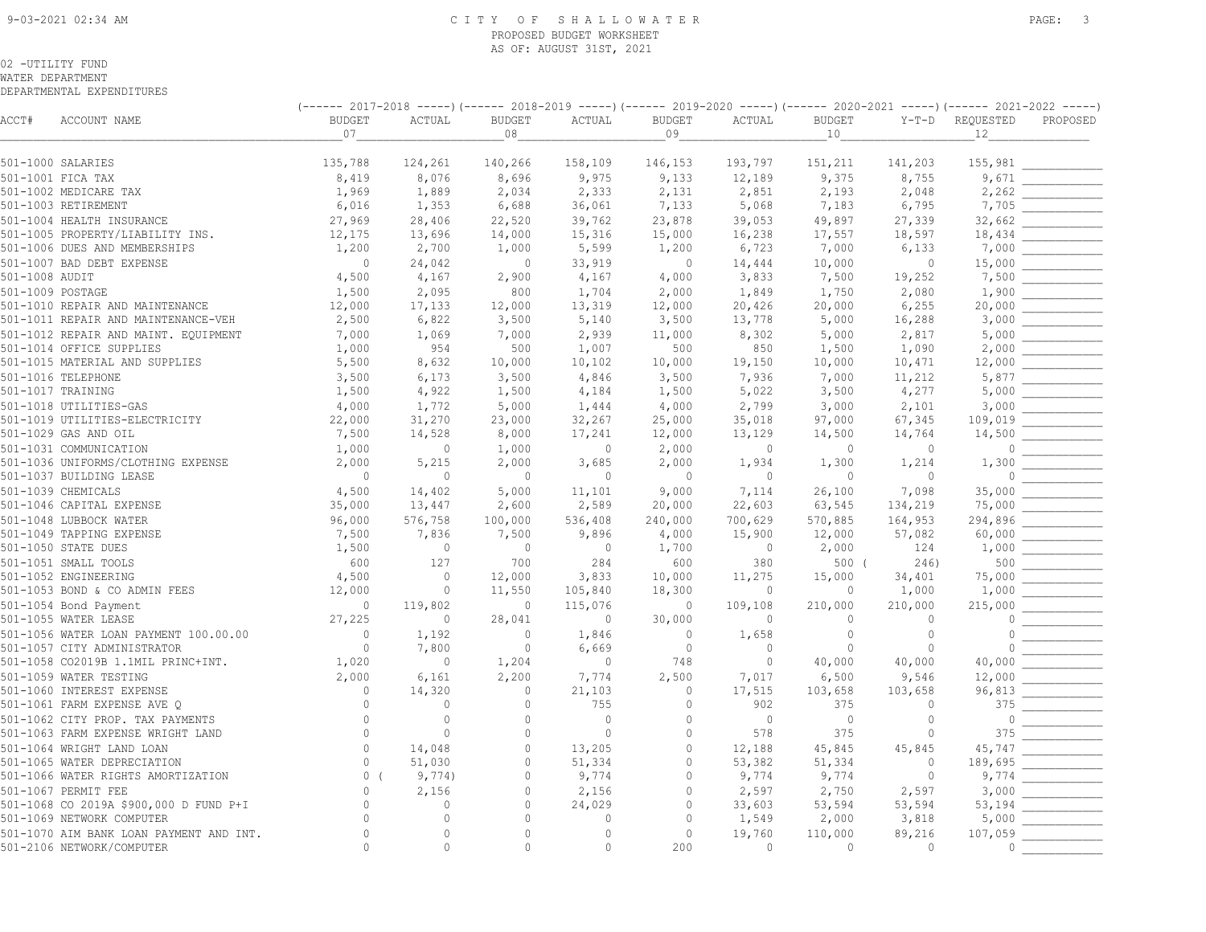#### 9-03-2021 02:34 AM C I T Y O F S H A L L O W A T E R PAGE: 3 PROPOSED BUDGET WORKSHEET AS OF: AUGUST 31ST, 2021

#### 02 -UTILITY FUND

WATER DEPARTMENT

|                  |                                                                  | (------ 2017-2018 -----) (------ 2018-2019 -----) (------ 2019-2020 -----) (------ 2020-2021 -----) (------ 2021-2022 -----) |                |                |                |                |              |                |                 |                   |          |
|------------------|------------------------------------------------------------------|------------------------------------------------------------------------------------------------------------------------------|----------------|----------------|----------------|----------------|--------------|----------------|-----------------|-------------------|----------|
| ACCT#            | ACCOUNT NAME                                                     | <b>BUDGET</b>                                                                                                                | ACTUAL         | <b>BUDGET</b>  | ACTUAL         | <b>BUDGET</b>  | ACTUAL       | <b>BUDGET</b>  | $Y-T-D$         | REQUESTED         | PROPOSED |
|                  |                                                                  | 07                                                                                                                           |                | 08             |                | 09             |              | 10             |                 | 12                |          |
|                  | 501-1000 SALARIES                                                | 135,788                                                                                                                      | 124,261        | 140,266        | 158,109        | 146,153        | 193,797      | 151,211        | 141,203         | 155,981           |          |
|                  | 501-1001 FICA TAX                                                | 8,419                                                                                                                        | 8,076          | 8,696          | 9,975          | 9,133          | 12,189       | 9,375          | 8,755           | 9,671             |          |
|                  | 501-1002 MEDICARE TAX                                            | 1,969                                                                                                                        | 1,889          | 2,034          | 2,333          | 2,131          | 2,851        | 2,193          | 2,048           | 2,262             |          |
|                  | 501-1003 RETIREMENT                                              | 6,016                                                                                                                        | 1,353          | 6,688          | 36,061         | 7,133          | 5,068        | 7,183          | 6,795           | 7,705             |          |
|                  | 501-1004 HEALTH INSURANCE                                        | 27,969                                                                                                                       | 28,406         | 22,520         | 39,762         | 23,878         | 39,053       | 49,897         | 27,339          | 32,662            |          |
|                  | 501-1005 PROPERTY/LIABILITY INS.                                 | 12,175                                                                                                                       | 13,696         | 14,000         | 15,316         | 15,000         | 16,238       | 17,557         | 18,597          | 18,434            |          |
|                  | 501-1006 DUES AND MEMBERSHIPS                                    | 1,200                                                                                                                        | 2,700          | 1,000          | 5,599          | 1,200          | 6,723        | 7,000          | 6,133           | 7,000             |          |
|                  | 501-1007 BAD DEBT EXPENSE                                        | $\overline{0}$                                                                                                               | 24,042         | $\overline{0}$ | 33,919         | $\circ$        | 14,444       | 10,000         | $\circ$         | 15,000            |          |
| 501-1008 AUDIT   |                                                                  | 4,500                                                                                                                        | 4,167          | 2,900          | 4,167          | 4,000          | 3,833        | 7,500          | 19,252          | 7,500             |          |
| 501-1009 POSTAGE |                                                                  | 1,500                                                                                                                        | 2,095          | 800            | 1,704          | 2,000          | 1,849        | 1,750          | 2,080           | 1,900             |          |
|                  | 501-1010 REPAIR AND MAINTENANCE                                  | 12,000                                                                                                                       | 17,133         | 12,000         | 13,319         | 12,000         | 20,426       | 20,000         | 6,255           | 20,000            |          |
|                  | 501-1011 REPAIR AND MAINTENANCE-VEH                              | 2,500                                                                                                                        | 6,822          | 3,500          | 5,140          | 3,500          | 13,778       | 5,000          | 16,288          | 3,000             |          |
|                  |                                                                  | 7,000                                                                                                                        | 1,069          | 7,000          |                |                |              |                |                 | 5,000             |          |
|                  | 501-1012 REPAIR AND MAINT. EQUIPMENT<br>501-1014 OFFICE SUPPLIES | 1,000                                                                                                                        | 954            | 500            | 2,939<br>1,007 | 11,000<br>500  | 8,302<br>850 | 5,000<br>1,500 | 2,817<br>1,090  | 2,000             |          |
|                  | 501-1015 MATERIAL AND SUPPLIES                                   | 5,500                                                                                                                        | 8,632          | 10,000         | 10,102         | 10,000         | 19,150       | 10,000         | 10,471          | 12,000            |          |
|                  | 501-1016 TELEPHONE                                               |                                                                                                                              |                |                |                | 3,500          | 7,936        | 7,000          |                 | 5,877             |          |
|                  | 501-1017 TRAINING                                                | 3,500<br>1,500                                                                                                               | 6,173<br>4,922 | 3,500<br>1,500 | 4,846<br>4,184 | 1,500          | 5,022        | 3,500          | 11,212<br>4,277 | 5,000             |          |
|                  |                                                                  |                                                                                                                              |                |                |                |                |              |                |                 |                   |          |
|                  | 501-1018 UTILITIES-GAS                                           | 4,000                                                                                                                        | 1,772          | 5,000          | 1,444          | 4,000          | 2,799        | 3,000          | 2,101           | 3,000             |          |
|                  | 501-1019 UTILITIES-ELECTRICITY                                   | 22,000                                                                                                                       | 31,270         | 23,000         | 32,267         | 25,000         | 35,018       | 97,000         | 67,345          | 109,019           |          |
|                  | 501-1029 GAS AND OIL                                             | 7,500                                                                                                                        | 14,528         | 8,000          | 17,241         | 12,000         | 13,129       | 14,500         | 14,764          | 14,500            |          |
|                  | 501-1031 COMMUNICATION                                           | 1,000                                                                                                                        | $\overline{0}$ | 1,000          | $\circ$        | 2,000          | $\circ$      | $\mathbf{0}$   | $\circ$         | $\circ$           |          |
|                  | 501-1036 UNIFORMS/CLOTHING EXPENSE                               | 2,000                                                                                                                        | 5,215          | 2,000          | 3,685          | 2,000          | 1,934        | 1,300          | 1,214           | 1,300<br>$\Omega$ |          |
|                  | 501-1037 BUILDING LEASE                                          | $\overline{0}$                                                                                                               | $\circ$        | $\overline{0}$ | $\circ$        | $\overline{0}$ | $\circ$      | $\overline{0}$ | $\circ$         |                   |          |
|                  | 501-1039 CHEMICALS                                               | 4,500                                                                                                                        | 14,402         | 5,000          | 11,101         | 9,000          | 7,114        | 26,100         | 7,098           | 35,000            |          |
|                  | 501-1046 CAPITAL EXPENSE                                         | 35,000                                                                                                                       | 13,447         | 2,600          | 2,589          | 20,000         | 22,603       | 63,545         | 134,219         | 75,000            |          |
|                  | 501-1048 LUBBOCK WATER                                           | 96,000                                                                                                                       | 576,758        | 100,000        | 536,408        | 240,000        | 700,629      | 570,885        | 164,953         | 294,896           |          |
|                  | 501-1049 TAPPING EXPENSE                                         | 7,500                                                                                                                        | 7,836          | 7,500          | 9,896          | 4,000          | 15,900       | 12,000         | 57,082          | 60,000            |          |
|                  | 501-1050 STATE DUES                                              | 1,500                                                                                                                        | $\circ$        | $\overline{0}$ | $\circ$        | 1,700          | $\circ$      | 2,000          | 124             | 1,000             |          |
|                  | 501-1051 SMALL TOOLS                                             | 600                                                                                                                          | 127            | 700            | 284            | 600            | 380          | 500(           | 246)            | 500               |          |
|                  | 501-1052 ENGINEERING                                             | 4,500                                                                                                                        | $\circ$        | 12,000         | 3,833          | 10,000         | 11,275       | 15,000         | 34,401          | 75,000            |          |
|                  | 501-1053 BOND & CO ADMIN FEES                                    | 12,000                                                                                                                       | $\circ$        | 11,550         | 105,840        | 18,300         | $\circ$      | $\circ$        | 1,000           | 1,000             |          |
|                  | 501-1054 Bond Payment                                            | $\overline{0}$                                                                                                               | 119,802        | $\overline{0}$ | 115,076        | $\overline{0}$ | 109,108      | 210,000        | 210,000         | 215,000           |          |
|                  | 501-1055 WATER LEASE                                             | 27,225                                                                                                                       | $\mathbf{0}$   | 28,041         | $\circ$        | 30,000         | $\mathbf{0}$ | $\Omega$       | $\mathbf{0}$    | $\Omega$          |          |
|                  | 501-1056 WATER LOAN PAYMENT 100.00.00                            | $\overline{0}$                                                                                                               | 1,192          | $\overline{0}$ | 1,846          | $\overline{0}$ | 1,658        | $\circ$        | $\circ$         | $\Omega$          |          |
|                  | 501-1057 CITY ADMINISTRATOR                                      | $\overline{0}$                                                                                                               | 7,800          | $\overline{0}$ | 6,669          | $\overline{0}$ | $\mathbf{0}$ | $\mathbf{0}$   | $\mathbf{0}$    | $\cap$            |          |
|                  | 501-1058 CO2019B 1.1MIL PRINC+INT.                               | 1,020                                                                                                                        | $\circ$        | 1,204          | $\circ$        | 748            | $\circ$      | 40,000         | 40,000          | 40,000            |          |
|                  | 501-1059 WATER TESTING                                           | 2,000                                                                                                                        | 6,161          | 2,200          | 7,774          | 2,500          | 7,017        | 6,500          | 9,546           | 12,000            |          |
|                  | 501-1060 INTEREST EXPENSE                                        | $\mathbf{0}$                                                                                                                 | 14,320         | $\mathbf{0}$   | 21,103         | $\circ$        | 17,515       | 103,658        | 103,658         | 96,813            |          |
|                  | 501-1061 FARM EXPENSE AVE Q                                      | $\Omega$                                                                                                                     | $\circ$        | $\circ$        | 755            | $\circ$        | 902          | 375            | $\circ$         | 375               |          |
|                  | 501-1062 CITY PROP. TAX PAYMENTS                                 | $\mathbf{0}$                                                                                                                 | $\mathbf{0}$   | $\circ$        | $\circ$        | $\circ$        | $\circ$      | $\overline{0}$ | $\circ$         | $\Omega$          |          |
|                  | 501-1063 FARM EXPENSE WRIGHT LAND                                | $\Omega$                                                                                                                     | $\circ$        | $\circ$        | $\mathbb{O}$   | $\mathbf 0$    | 578          | 375            | $\mathbb O$     | 375               |          |
|                  | 501-1064 WRIGHT LAND LOAN                                        | $\Omega$                                                                                                                     | 14,048         | $\circ$        | 13,205         | $\circ$        | 12,188       | 45,845         | 45,845          | 45,747            |          |
|                  | 501-1065 WATER DEPRECIATION                                      | $\mathbf{0}$                                                                                                                 | 51,030         | $\circ$        | 51,334         | $\circ$        | 53,382       | 51,334         | $\mathbf{0}$    | 189,695           |          |
|                  | 501-1066 WATER RIGHTS AMORTIZATION                               | 0 <sup>0</sup>                                                                                                               | 9,774)         | $\circ$        | 9,774          | $\Omega$       | 9,774        | 9,774          | $\circ$         | 9,774             |          |
|                  | 501-1067 PERMIT FEE                                              | $\Omega$                                                                                                                     | 2,156          | $\Omega$       | 2,156          | $\Omega$       | 2,597        | 2,750          | 2,597           | 3,000             |          |
|                  | 501-1068 CO 2019A \$900,000 D FUND P+I                           |                                                                                                                              | $\circ$        | $\circ$        | 24,029         | $\mathbf 0$    | 33,603       | 53,594         | 53,594          | 53,194            |          |
|                  | 501-1069 NETWORK COMPUTER                                        |                                                                                                                              | $\Omega$       | $\Omega$       | $\circ$        | $\Omega$       | 1,549        | 2,000          | 3,818           | 5,000             |          |
|                  | 501-1070 AIM BANK LOAN PAYMENT AND INT.                          | $\mathbf{0}$                                                                                                                 | $\circ$        | $\circ$        | $\circ$        | $\circ$        | 19,760       | 110,000        | 89,216          | 107,059           |          |
|                  | 501-2106 NETWORK/COMPUTER                                        | $\Omega$                                                                                                                     | $\bigcap$      | $\Omega$       | $\Omega$       | 200            | $\Omega$     | $\bigcap$      | $\bigcap$       | $\bigcap$         |          |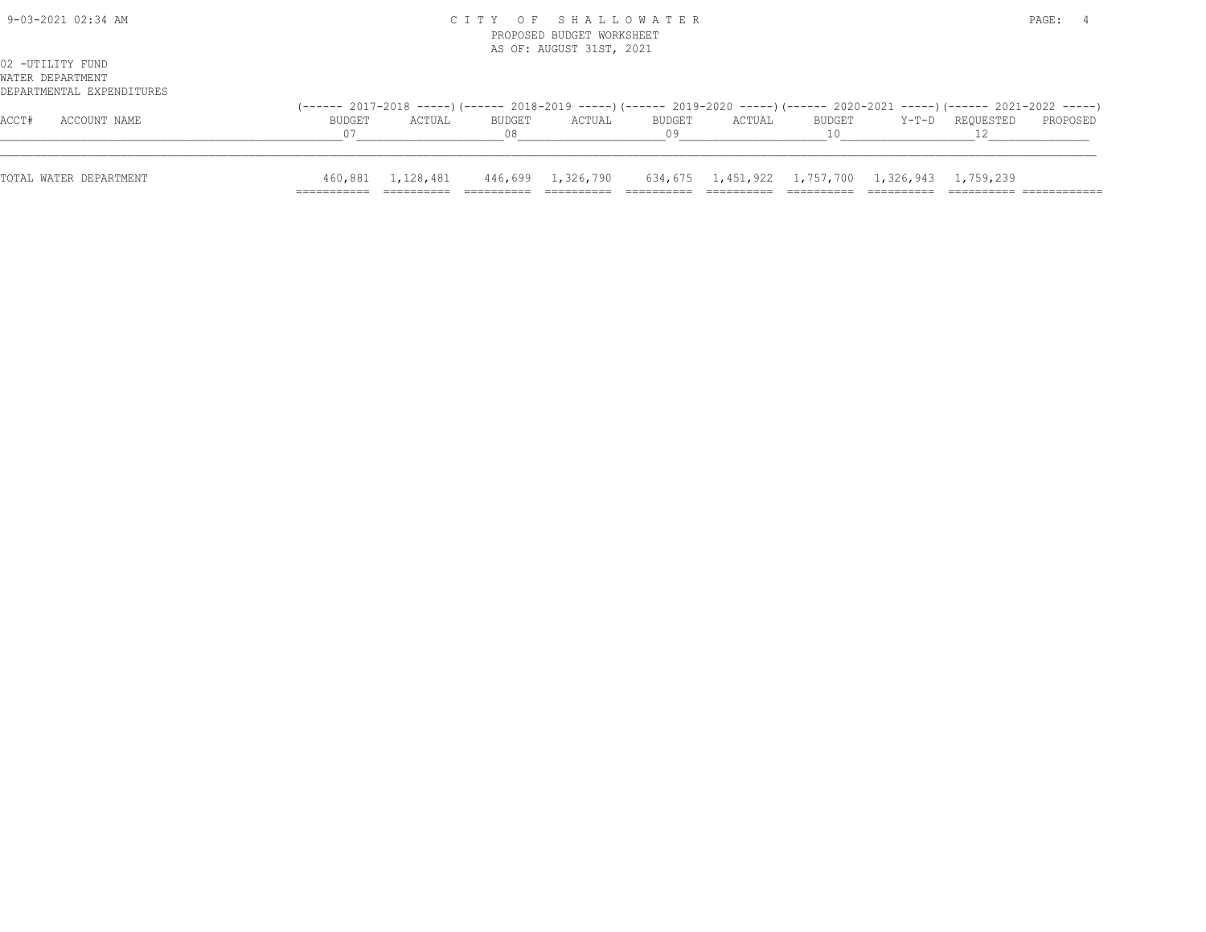| 9-03-2021 02:34 AM                                                |                     | CITY OF SHALLOWATER<br>PROPOSED BUDGET WORKSHEET<br>AS OF: AUGUST 31ST, 2021 |              |        |              |        |  |                                                                   |                                                                                                                          |          |
|-------------------------------------------------------------------|---------------------|------------------------------------------------------------------------------|--------------|--------|--------------|--------|--|-------------------------------------------------------------------|--------------------------------------------------------------------------------------------------------------------------|----------|
| 02 -UTILITY FUND<br>WATER DEPARTMENT<br>DEPARTMENTAL EXPENDITURES |                     |                                                                              |              |        |              |        |  |                                                                   |                                                                                                                          |          |
| ACCOUNT NAME<br>ACCT#                                             | <b>BUDGET</b><br>07 | ACTUAL                                                                       | BUDGET<br>08 | ACTUAL | BUDGET<br>09 | ACTUAL |  | BUDGET Y-T-D REQUESTED                                            | (------ 2017-2018 -----)(------ 2018-2019 -----)(------ 2019-2020 -----)(------ 2020-2021 -----)(------ 2021-2022 -----) | PROPOSED |
| TOTAL WATER DEPARTMENT                                            |                     | 460,881    1,128,481                                                         |              |        |              |        |  | 446,699 1,326,790 634,675 1,451,922 1,757,700 1,326,943 1,759,239 |                                                                                                                          |          |